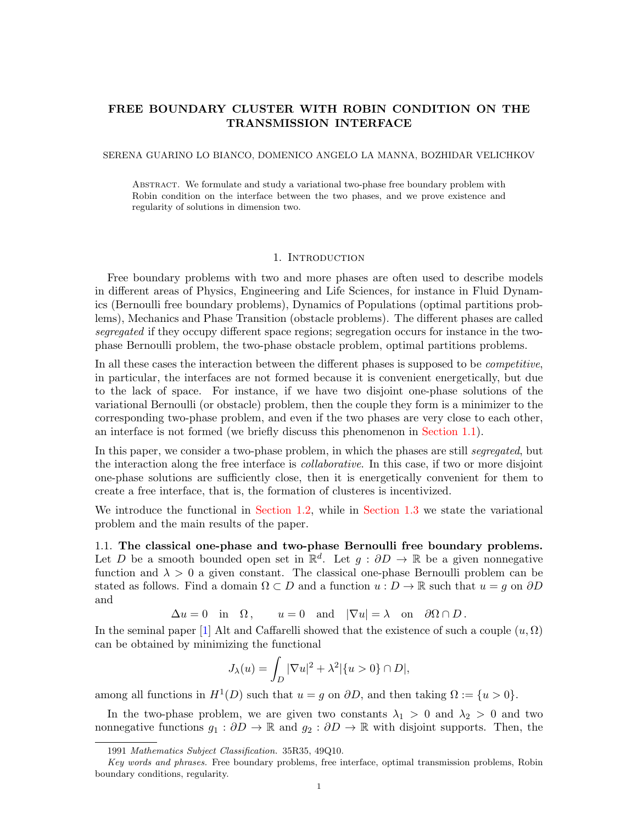# FREE BOUNDARY CLUSTER WITH ROBIN CONDITION ON THE TRANSMISSION INTERFACE

### SERENA GUARINO LO BIANCO, DOMENICO ANGELO LA MANNA, BOZHIDAR VELICHKOV

Abstract. We formulate and study a variational two-phase free boundary problem with Robin condition on the interface between the two phases, and we prove existence and regularity of solutions in dimension two.

### 1. Introduction

Free boundary problems with two and more phases are often used to describe models in different areas of Physics, Engineering and Life Sciences, for instance in Fluid Dynamics (Bernoulli free boundary problems), Dynamics of Populations (optimal partitions problems), Mechanics and Phase Transition (obstacle problems). The different phases are called segregated if they occupy different space regions; segregation occurs for instance in the twophase Bernoulli problem, the two-phase obstacle problem, optimal partitions problems.

In all these cases the interaction between the different phases is supposed to be *competitive*, in particular, the interfaces are not formed because it is convenient energetically, but due to the lack of space. For instance, if we have two disjoint one-phase solutions of the variational Bernoulli (or obstacle) problem, then the couple they form is a minimizer to the corresponding two-phase problem, and even if the two phases are very close to each other, an interface is not formed (we briefly discuss this phenomenon in [Section 1.1\)](#page-0-0).

In this paper, we consider a two-phase problem, in which the phases are still *segregated*, but the interaction along the free interface is collaborative. In this case, if two or more disjoint one-phase solutions are sufficiently close, then it is energetically convenient for them to create a free interface, that is, the formation of clusteres is incentivized.

We introduce the functional in [Section 1.2,](#page-1-0) while in [Section 1.3](#page-2-0) we state the variational problem and the main results of the paper.

<span id="page-0-0"></span>1.1. The classical one-phase and two-phase Bernoulli free boundary problems. Let D be a smooth bounded open set in  $\mathbb{R}^d$ . Let  $g : \partial D \to \mathbb{R}$  be a given nonnegative function and  $\lambda > 0$  a given constant. The classical one-phase Bernoulli problem can be stated as follows. Find a domain  $\Omega \subset D$  and a function  $u : D \to \mathbb{R}$  such that  $u = g$  on  $\partial D$ and

 $\Delta u = 0$  in  $\Omega$ ,  $u = 0$  and  $|\nabla u| = \lambda$  on  $\partial \Omega \cap D$ .

In the seminal paper [\[1\]](#page-22-0) Alt and Caffarelli showed that the existence of such a couple  $(u, \Omega)$ can be obtained by minimizing the functional

$$
J_{\lambda}(u) = \int_{D} |\nabla u|^2 + \lambda^2 |\{u > 0\} \cap D|,
$$

among all functions in  $H^1(D)$  such that  $u = g$  on  $\partial D$ , and then taking  $\Omega := \{u > 0\}.$ 

In the two-phase problem, we are given two constants  $\lambda_1 > 0$  and  $\lambda_2 > 0$  and two nonnegative functions  $g_1 : \partial D \to \mathbb{R}$  and  $g_2 : \partial D \to \mathbb{R}$  with disjoint supports. Then, the

<sup>1991</sup> Mathematics Subject Classification. 35R35, 49Q10.

Key words and phrases. Free boundary problems, free interface, optimal transmission problems, Robin boundary conditions, regularity.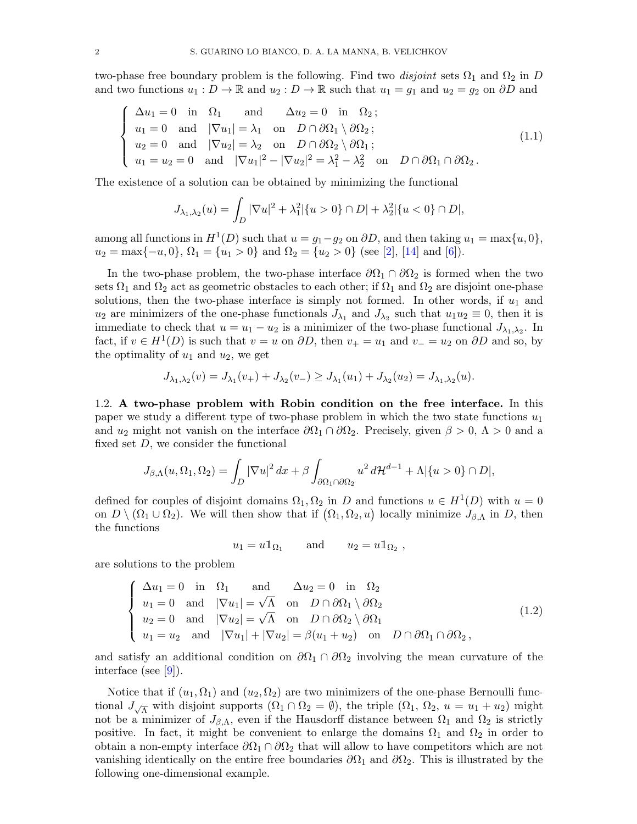two-phase free boundary problem is the following. Find two disjoint sets  $\Omega_1$  and  $\Omega_2$  in D and two functions  $u_1 : D \to \mathbb{R}$  and  $u_2 : D \to \mathbb{R}$  such that  $u_1 = g_1$  and  $u_2 = g_2$  on  $\partial D$  and

$$
\begin{cases}\n\Delta u_1 = 0 \text{ in } \Omega_1 \text{ and } \Delta u_2 = 0 \text{ in } \Omega_2; \\
u_1 = 0 \text{ and } |\nabla u_1| = \lambda_1 \text{ on } D \cap \partial \Omega_1 \setminus \partial \Omega_2; \\
u_2 = 0 \text{ and } |\nabla u_2| = \lambda_2 \text{ on } D \cap \partial \Omega_2 \setminus \partial \Omega_1; \\
u_1 = u_2 = 0 \text{ and } |\nabla u_1|^2 - |\nabla u_2|^2 = \lambda_1^2 - \lambda_2^2 \text{ on } D \cap \partial \Omega_1 \cap \partial \Omega_2.\n\end{cases}
$$
\n(1.1)

The existence of a solution can be obtained by minimizing the functional

$$
J_{\lambda_1,\lambda_2}(u) = \int_D |\nabla u|^2 + \lambda_1^2 |\{u > 0\} \cap D| + \lambda_2^2 |\{u < 0\} \cap D|,
$$

among all functions in  $H^1(D)$  such that  $u = g_1 - g_2$  on  $\partial D$ , and then taking  $u_1 = \max\{u, 0\}$ ,  $u_2 = \max\{-u, 0\}, \Omega_1 = \{u_1 > 0\}$  and  $\Omega_2 = \{u_2 > 0\}$  (see [\[2\]](#page-22-1), [\[14\]](#page-22-2) and [\[6\]](#page-22-3)).

In the two-phase problem, the two-phase interface  $\partial\Omega_1 \cap \partial\Omega_2$  is formed when the two sets  $\Omega_1$  and  $\Omega_2$  act as geometric obstacles to each other; if  $\Omega_1$  and  $\Omega_2$  are disjoint one-phase solutions, then the two-phase interface is simply not formed. In other words, if  $u_1$  and  $u_2$  are minimizers of the one-phase functionals  $J_{\lambda_1}$  and  $J_{\lambda_2}$  such that  $u_1u_2 \equiv 0$ , then it is immediate to check that  $u = u_1 - u_2$  is a minimizer of the two-phase functional  $J_{\lambda_1, \lambda_2}$ . In fact, if  $v \in H^1(D)$  is such that  $v = u$  on  $\partial D$ , then  $v_+ = u_1$  and  $v_- = u_2$  on  $\partial D$  and so, by the optimality of  $u_1$  and  $u_2$ , we get

$$
J_{\lambda_1, \lambda_2}(v) = J_{\lambda_1}(v_+) + J_{\lambda_2}(v_-) \ge J_{\lambda_1}(u_1) + J_{\lambda_2}(u_2) = J_{\lambda_1, \lambda_2}(u).
$$

<span id="page-1-0"></span>1.2. A two-phase problem with Robin condition on the free interface. In this paper we study a different type of two-phase problem in which the two state functions  $u_1$ and  $u_2$  might not vanish on the interface  $\partial\Omega_1 \cap \partial\Omega_2$ . Precisely, given  $\beta > 0$ ,  $\Lambda > 0$  and a fixed set  $D$ , we consider the functional

$$
J_{\beta,\Lambda}(u,\Omega_1,\Omega_2)=\int_D|\nabla u|^2\,dx+\beta\int_{\partial\Omega_1\cap\partial\Omega_2}u^2\,d\mathcal{H}^{d-1}+\Lambda|\{u>0\}\cap D|,
$$

defined for couples of disjoint domains  $\Omega_1, \Omega_2$  in D and functions  $u \in H^1(D)$  with  $u = 0$ on  $D \setminus (\Omega_1 \cup \Omega_2)$ . We will then show that if  $(\Omega_1, \Omega_2, u)$  locally minimize  $J_{\beta,\Lambda}$  in D, then the functions

 $u_1 = u \mathbb{1}_{\Omega_1}$  and  $u_2 = u \mathbb{1}_{\Omega_2}$ ,

are solutions to the problem

$$
\begin{cases}\n\Delta u_1 = 0 \text{ in } \Omega_1 \text{ and } \Delta u_2 = 0 \text{ in } \Omega_2 \\
u_1 = 0 \text{ and } |\nabla u_1| = \sqrt{\Lambda} \text{ on } D \cap \partial \Omega_1 \setminus \partial \Omega_2 \\
u_2 = 0 \text{ and } |\nabla u_2| = \sqrt{\Lambda} \text{ on } D \cap \partial \Omega_2 \setminus \partial \Omega_1 \\
u_1 = u_2 \text{ and } |\nabla u_1| + |\nabla u_2| = \beta (u_1 + u_2) \text{ on } D \cap \partial \Omega_1 \cap \partial \Omega_2,\n\end{cases}
$$
\n(1.2)

and satisfy an additional condition on  $\partial\Omega_1 \cap \partial\Omega_2$  involving the mean curvature of the interface (see [\[9\]](#page-22-4)).

Notice that if  $(u_1, \Omega_1)$  and  $(u_2, \Omega_2)$  are two minimizers of the one-phase Bernoulli functional  $J_{\sqrt{\Lambda}}$  with disjoint supports  $(\Omega_1 \cap \Omega_2 = \emptyset)$ , the triple  $(\Omega_1, \Omega_2, u = u_1 + u_2)$  might not be a minimizer of  $J_{\beta,\Lambda}$ , even if the Hausdorff distance between  $\Omega_1$  and  $\Omega_2$  is strictly positive. In fact, it might be convenient to enlarge the domains  $\Omega_1$  and  $\Omega_2$  in order to obtain a non-empty interface  $\partial\Omega_1 \cap \partial\Omega_2$  that will allow to have competitors which are not vanishing identically on the entire free boundaries  $\partial\Omega_1$  and  $\partial\Omega_2$ . This is illustrated by the following one-dimensional example.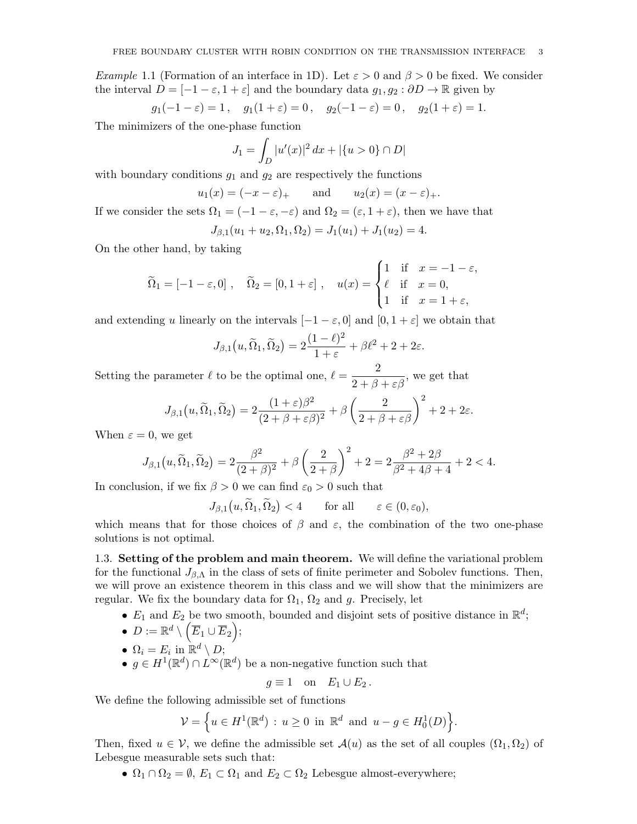*Example* 1.1 (Formation of an interface in 1D). Let  $\varepsilon > 0$  and  $\beta > 0$  be fixed. We consider the interval  $D = [-1 - \varepsilon, 1 + \varepsilon]$  and the boundary data  $g_1, g_2 : \partial D \to \mathbb{R}$  given by

$$
g_1(-1 - \varepsilon) = 1
$$
,  $g_1(1 + \varepsilon) = 0$ ,  $g_2(-1 - \varepsilon) = 0$ ,  $g_2(1 + \varepsilon) = 1$ .

The minimizers of the one-phase function

$$
J_1 = \int_D |u'(x)|^2 \, dx + |\{u > 0\} \cap D|
$$

with boundary conditions  $g_1$  and  $g_2$  are respectively the functions

$$
u_1(x) = (-x - \varepsilon)_+
$$
 and  $u_2(x) = (x - \varepsilon)_+.$ 

If we consider the sets  $\Omega_1 = (-1 - \varepsilon, -\varepsilon)$  and  $\Omega_2 = (\varepsilon, 1 + \varepsilon)$ , then we have that

$$
J_{\beta,1}(u_1+u_2,\Omega_1,\Omega_2)=J_1(u_1)+J_1(u_2)=4.
$$

On the other hand, by taking

$$
\widetilde{\Omega}_1 = [-1 - \varepsilon, 0], \quad \widetilde{\Omega}_2 = [0, 1 + \varepsilon], \quad u(x) = \begin{cases} 1 & \text{if } x = -1 - \varepsilon, \\ \ell & \text{if } x = 0, \\ 1 & \text{if } x = 1 + \varepsilon, \end{cases}
$$

and extending u linearly on the intervals  $[-1 - \varepsilon, 0]$  and  $[0, 1 + \varepsilon]$  we obtain that

$$
J_{\beta,1}(u,\widetilde{\Omega}_1,\widetilde{\Omega}_2)=2\frac{(1-\ell)^2}{1+\varepsilon}+\beta\ell^2+2+2\varepsilon.
$$

Setting the parameter  $\ell$  to be the optimal one,  $\ell = \frac{2}{2 + \beta + \varepsilon \beta}$ , we get that

$$
J_{\beta,1}(u,\widetilde{\Omega}_1,\widetilde{\Omega}_2)=2\frac{(1+\varepsilon)\beta^2}{(2+\beta+\varepsilon\beta)^2}+\beta\left(\frac{2}{2+\beta+\varepsilon\beta}\right)^2+2+2\varepsilon.
$$

When  $\varepsilon = 0$ , we get

$$
J_{\beta,1}(u,\widetilde{\Omega}_1,\widetilde{\Omega}_2) = 2\frac{\beta^2}{(2+\beta)^2} + \beta\left(\frac{2}{2+\beta}\right)^2 + 2 = 2\frac{\beta^2 + 2\beta}{\beta^2 + 4\beta + 4} + 2 < 4.
$$

In conclusion, if we fix  $\beta > 0$  we can find  $\varepsilon_0 > 0$  such that

$$
J_{\beta,1}(u,\Omega_1,\Omega_2) < 4 \quad \text{for all} \quad \varepsilon \in (0,\varepsilon_0),
$$

which means that for those choices of  $\beta$  and  $\varepsilon$ , the combination of the two one-phase solutions is not optimal.

<span id="page-2-0"></span>1.3. Setting of the problem and main theorem. We will define the variational problem for the functional  $J_{\beta,\Lambda}$  in the class of sets of finite perimeter and Sobolev functions. Then, we will prove an existence theorem in this class and we will show that the minimizers are regular. We fix the boundary data for  $\Omega_1$ ,  $\Omega_2$  and g. Precisely, let

- $E_1$  and  $E_2$  be two smooth, bounded and disjoint sets of positive distance in  $\mathbb{R}^d$ ;
- $\bullet \ \ D:=\mathbb{R}^d \setminus \left(\overline{E}_1 \cup \overline{E}_2 \right);$

• 
$$
\Omega_i = E_i
$$
 in  $\mathbb{R}^d \setminus D$ ;

•  $g \in H^1(\mathbb{R}^d) \cap L^{\infty}(\mathbb{R}^d)$  be a non-negative function such that

$$
g \equiv 1 \quad \text{on} \quad E_1 \cup E_2 \, .
$$

We define the following admissible set of functions

$$
\mathcal{V} = \left\{ u \in H^1(\mathbb{R}^d) : u \ge 0 \text{ in } \mathbb{R}^d \text{ and } u - g \in H_0^1(D) \right\}.
$$

Then, fixed  $u \in \mathcal{V}$ , we define the admissible set  $\mathcal{A}(u)$  as the set of all couples  $(\Omega_1, \Omega_2)$  of Lebesgue measurable sets such that:

•  $\Omega_1 \cap \Omega_2 = \emptyset$ ,  $E_1 \subset \Omega_1$  and  $E_2 \subset \Omega_2$  Lebesgue almost-everywhere;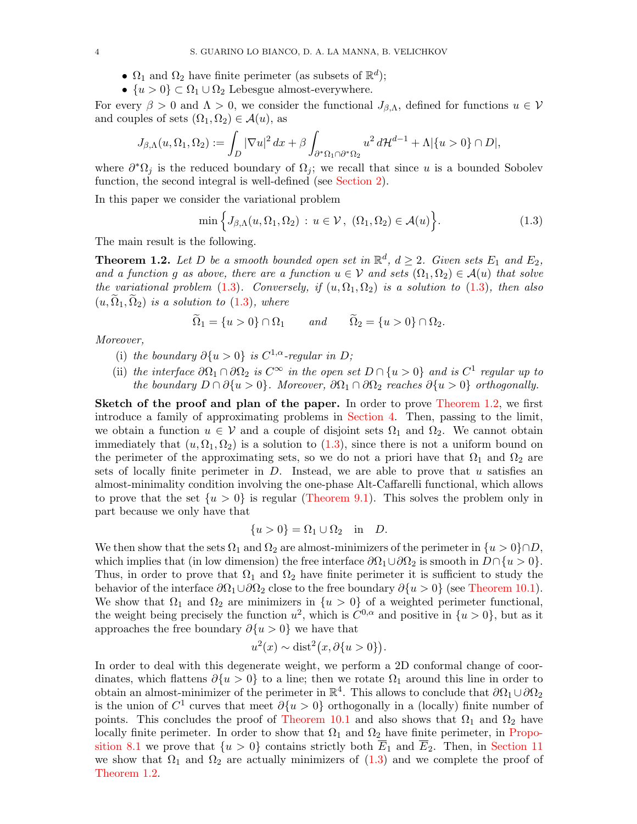- $\Omega_1$  and  $\Omega_2$  have finite perimeter (as subsets of  $\mathbb{R}^d$ );
- $\{u > 0\} \subset \Omega_1 \cup \Omega_2$  Lebesgue almost-everywhere.

For every  $\beta > 0$  and  $\Lambda > 0$ , we consider the functional  $J_{\beta,\Lambda}$ , defined for functions  $u \in V$ and couples of sets  $(\Omega_1, \Omega_2) \in \mathcal{A}(u)$ , as

$$
J_{\beta,\Lambda}(u,\Omega_1,\Omega_2) := \int_D |\nabla u|^2 dx + \beta \int_{\partial^*\Omega_1 \cap \partial^*\Omega_2} u^2 d\mathcal{H}^{d-1} + \Lambda |\{u > 0\} \cap D|,
$$

where  $\partial^* \Omega_j$  is the reduced boundary of  $\Omega_j$ ; we recall that since u is a bounded Sobolev function, the second integral is well-defined (see [Section 2\)](#page-4-0).

In this paper we consider the variational problem

<span id="page-3-0"></span>
$$
\min\left\{J_{\beta,\Lambda}(u,\Omega_1,\Omega_2)\,:\,u\in\mathcal{V},\;(\Omega_1,\Omega_2)\in\mathcal{A}(u)\right\}.\tag{1.3}
$$

The main result is the following.

<span id="page-3-1"></span>**Theorem 1.2.** Let D be a smooth bounded open set in  $\mathbb{R}^d$ ,  $d \geq 2$ . Given sets  $E_1$  and  $E_2$ , and a function g as above, there are a function  $u \in V$  and sets  $(\Omega_1, \Omega_2) \in \mathcal{A}(u)$  that solve the variational problem [\(1.3\)](#page-3-0). Conversely, if  $(u, \Omega_1, \Omega_2)$  is a solution to (1.3), then also  $(u, \Omega_1, \Omega_2)$  is a solution to  $(1.3)$ , where

$$
\widetilde{\Omega}_1 = \{u > 0\} \cap \Omega_1 \qquad \text{and} \qquad \widetilde{\Omega}_2 = \{u > 0\} \cap \Omega_2.
$$

Moreover,

- (i) the boundary  $\partial \{u > 0\}$  is  $C^{1,\alpha}$ -regular in D;
- (ii) the interface  $\partial\Omega_1 \cap \partial\Omega_2$  is  $C^{\infty}$  in the open set  $D \cap \{u > 0\}$  and is  $C^1$  regular up to the boundary  $D \cap \partial \{u > 0\}$ . Moreover,  $\partial \Omega_1 \cap \partial \Omega_2$  reaches  $\partial \{u > 0\}$  orthogonally.

Sketch of the proof and plan of the paper. In order to prove [Theorem 1.2,](#page-3-1) we first introduce a family of approximating problems in [Section 4.](#page-10-0) Then, passing to the limit, we obtain a function  $u \in V$  and a couple of disjoint sets  $\Omega_1$  and  $\Omega_2$ . We cannot obtain immediately that  $(u, \Omega_1, \Omega_2)$  is a solution to [\(1.3\)](#page-3-0), since there is not a uniform bound on the perimeter of the approximating sets, so we do not a priori have that  $\Omega_1$  and  $\Omega_2$  are sets of locally finite perimeter in  $D$ . Instead, we are able to prove that u satisfies an almost-minimality condition involving the one-phase Alt-Caffarelli functional, which allows to prove that the set  $\{u > 0\}$  is regular [\(Theorem 9.1\)](#page-16-0). This solves the problem only in part because we only have that

$$
\{u>0\} = \Omega_1 \cup \Omega_2 \quad \text{in} \quad D.
$$

We then show that the sets  $\Omega_1$  and  $\Omega_2$  are almost-minimizers of the perimeter in  $\{u > 0\} \cap D$ , which implies that (in low dimension) the free interface  $\partial\Omega_1\cup\partial\Omega_2$  is smooth in  $D\cap\{u>0\}$ . Thus, in order to prove that  $\Omega_1$  and  $\Omega_2$  have finite perimeter it is sufficient to study the behavior of the interface  $\partial\Omega_1\cup\partial\Omega_2$  close to the free boundary  $\partial\{u>0\}$  (see [Theorem 10.1\)](#page-18-0). We show that  $\Omega_1$  and  $\Omega_2$  are minimizers in  $\{u > 0\}$  of a weighted perimeter functional, the weight being precisely the function  $u^2$ , which is  $C^{0,\alpha}$  and positive in  $\{u>0\}$ , but as it approaches the free boundary  $\partial \{u > 0\}$  we have that

$$
u^{2}(x) \sim \text{dist}^{2}(x, \partial \{u > 0\}).
$$

In order to deal with this degenerate weight, we perform a 2D conformal change of coordinates, which flattens  $\partial \{u > 0\}$  to a line; then we rotate  $\Omega_1$  around this line in order to obtain an almost-minimizer of the perimeter in  $\mathbb{R}^4$ . This allows to conclude that  $\partial\Omega_1 \cup \partial\Omega_2$ is the union of  $C^1$  curves that meet  $\partial \{u > 0\}$  orthogonally in a (locally) finite number of points. This concludes the proof of [Theorem 10.1](#page-18-0) and also shows that  $\Omega_1$  and  $\Omega_2$  have locally finite perimeter. In order to show that  $\Omega_1$  and  $\Omega_2$  have finite perimeter, in [Propo](#page-14-0)[sition 8.1](#page-14-0) we prove that  $\{u > 0\}$  contains strictly both  $\overline{E}_1$  and  $\overline{E}_2$ . Then, in [Section 11](#page-21-0) we show that  $\Omega_1$  and  $\Omega_2$  are actually minimizers of  $(1.3)$  and we complete the proof of [Theorem 1.2.](#page-3-1)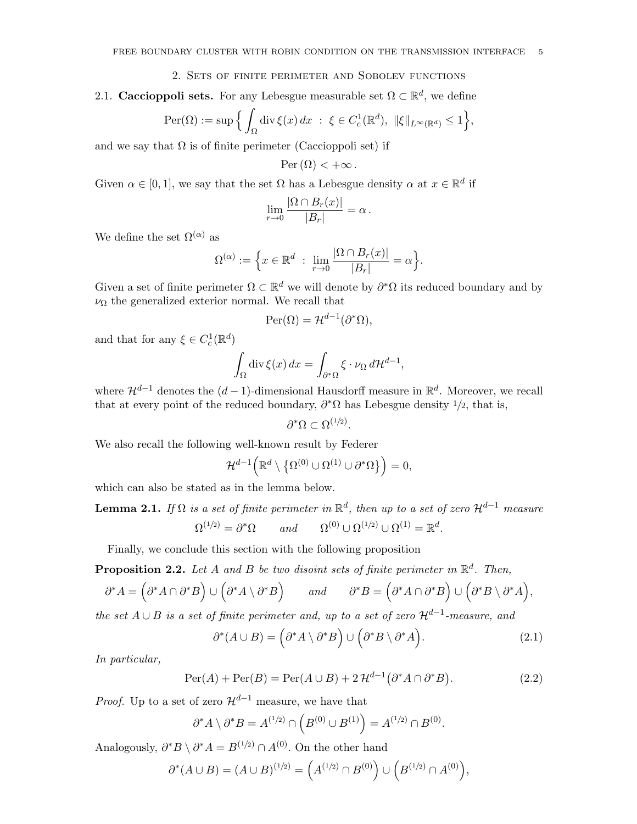### 2. Sets of finite perimeter and Sobolev functions

<span id="page-4-0"></span>2.1. Caccioppoli sets. For any Lebesgue measurable set  $\Omega \subset \mathbb{R}^d$ , we define

$$
\operatorname{Per}(\Omega) := \sup \Big\{ \int_{\Omega} \operatorname{div} \xi(x) \, dx \; : \; \xi \in C_c^1(\mathbb{R}^d), \; \|\xi\|_{L^{\infty}(\mathbb{R}^d)} \le 1 \Big\},
$$

and we say that  $\Omega$  is of finite perimeter (Caccioppoli set) if

$$
\operatorname{Per}(\Omega) < +\infty.
$$

Given  $\alpha \in [0,1]$ , we say that the set  $\Omega$  has a Lebesgue density  $\alpha$  at  $x \in \mathbb{R}^d$  if

$$
\lim_{r \to 0} \frac{|\Omega \cap B_r(x)|}{|B_r|} = \alpha.
$$

We define the set  $\Omega^{(\alpha)}$  as

$$
\Omega^{(\alpha)} := \left\{ x \in \mathbb{R}^d \; : \; \lim_{r \to 0} \frac{|\Omega \cap B_r(x)|}{|B_r|} = \alpha \right\}.
$$

Given a set of finite perimeter  $\Omega \subset \mathbb{R}^d$  we will denote by  $\partial^* \Omega$  its reduced boundary and by  $\nu_{\Omega}$  the generalized exterior normal. We recall that

$$
\operatorname{Per}(\Omega) = \mathcal{H}^{d-1}(\partial^*\Omega),
$$

and that for any  $\xi \in C_c^1(\mathbb{R}^d)$ 

$$
\int_{\Omega} \operatorname{div} \xi(x) dx = \int_{\partial^* \Omega} \xi \cdot \nu_{\Omega} d\mathcal{H}^{d-1},
$$

where  $\mathcal{H}^{d-1}$  denotes the  $(d-1)$ -dimensional Hausdorff measure in  $\mathbb{R}^d$ . Moreover, we recall that at every point of the reduced boundary,  $\partial^* \Omega$  has Lebesgue density  $1/2$ , that is,

 $\partial^* \Omega \subset \Omega^{(1/2)}.$ 

We also recall the following well-known result by Federer

$$
\mathcal{H}^{d-1}\Big(\mathbb{R}^d\setminus\left\{\Omega^{(0)}\cup\Omega^{(1)}\cup\partial^*\Omega\right\}\Big)=0,
$$

<span id="page-4-3"></span>which can also be stated as in the lemma below.

**Lemma 2.1.** If  $\Omega$  is a set of finite perimeter in  $\mathbb{R}^d$ , then up to a set of zero  $\mathcal{H}^{d-1}$  measure  $\Omega^{(1/2)} = \partial^* \Omega$  and  $\Omega^{(0)} \cup \Omega^{(1/2)} \cup \Omega^{(1)} = \mathbb{R}^d$ .

Finally, we conclude this section with the following proposition

**Proposition 2.2.** Let A and B be two disoint sets of finite perimeter in  $\mathbb{R}^d$ . Then,

$$
\partial^* A = (\partial^* A \cap \partial^* B) \cup (\partial^* A \setminus \partial^* B) \qquad and \qquad \partial^* B = (\partial^* A \cap \partial^* B) \cup (\partial^* B \setminus \partial^* A),
$$

the set  $A \cup B$  is a set of finite perimeter and, up to a set of zero  $\mathcal{H}^{d-1}$ -measure, and

<span id="page-4-2"></span><span id="page-4-1"></span>
$$
\partial^*(A \cup B) = (\partial^* A \setminus \partial^* B) \cup (\partial^* B \setminus \partial^* A). \tag{2.1}
$$

In particular,

$$
\operatorname{Per}(A) + \operatorname{Per}(B) = \operatorname{Per}(A \cup B) + 2\mathcal{H}^{d-1}(\partial^* A \cap \partial^* B). \tag{2.2}
$$

*Proof.* Up to a set of zero  $\mathcal{H}^{d-1}$  measure, we have that

$$
\partial^* A \setminus \partial^* B = A^{(1/2)} \cap \left( B^{(0)} \cup B^{(1)} \right) = A^{(1/2)} \cap B^{(0)}.
$$

Analogously,  $\partial^* B \setminus \partial^* A = B^{(1/2)} \cap A^{(0)}$ . On the other hand

$$
\partial^*(A \cup B) = (A \cup B)^{(1/2)} = \left(A^{(1/2)} \cap B^{(0)}\right) \cup \left(B^{(1/2)} \cap A^{(0)}\right),
$$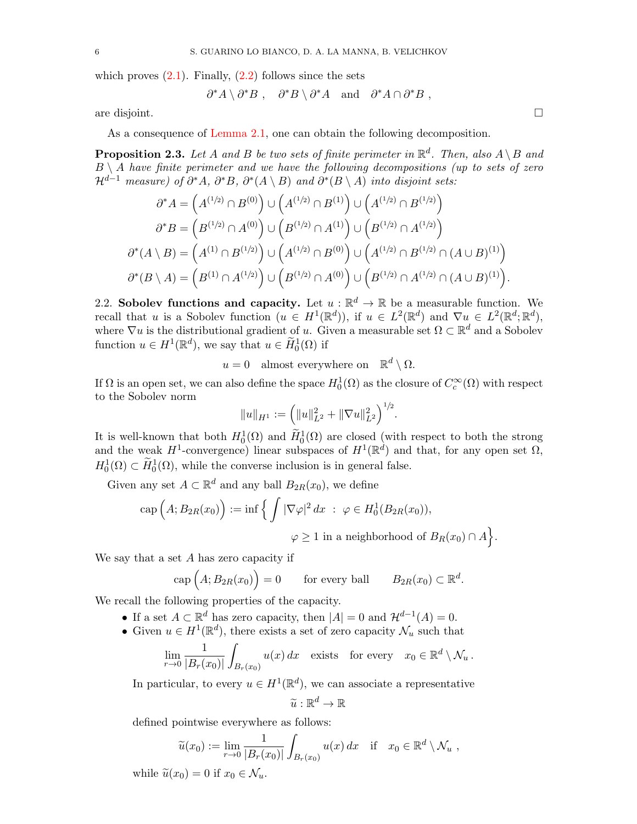which proves  $(2.1)$ . Finally,  $(2.2)$  follows since the sets

$$
\partial^* A \setminus \partial^* B
$$
,  $\partial^* B \setminus \partial^* A$  and  $\partial^* A \cap \partial^* B$ ,

are disjoint.

As a consequence of [Lemma 2.1,](#page-4-3) one can obtain the following decomposition.

**Proposition 2.3.** Let A and B be two sets of finite perimeter in  $\mathbb{R}^d$ . Then, also  $A \setminus B$  and  $B \setminus A$  have finite perimeter and we have the following decompositions (up to sets of zero  $\mathcal{H}^{d-1}$  measure) of  $\partial^* A$ ,  $\partial^* B$ ,  $\partial^* (A \setminus B)$  and  $\partial^* (B \setminus A)$  into disjoint sets:

$$
\partial^* A = \left( A^{(1/2)} \cap B^{(0)} \right) \cup \left( A^{(1/2)} \cap B^{(1)} \right) \cup \left( A^{(1/2)} \cap B^{(1/2)} \right) \n\partial^* B = \left( B^{(1/2)} \cap A^{(0)} \right) \cup \left( B^{(1/2)} \cap A^{(1)} \right) \cup \left( B^{(1/2)} \cap A^{(1/2)} \right) \n\partial^* (A \setminus B) = \left( A^{(1)} \cap B^{(1/2)} \right) \cup \left( A^{(1/2)} \cap B^{(0)} \right) \cup \left( A^{(1/2)} \cap B^{(1/2)} \cap (A \cup B)^{(1)} \right) \n\partial^* (B \setminus A) = \left( B^{(1)} \cap A^{(1/2)} \right) \cup \left( B^{(1/2)} \cap A^{(0)} \right) \cup \left( B^{(1/2)} \cap A^{(1/2)} \cap (A \cup B)^{(1)} \right).
$$

2.2. Sobolev functions and capacity. Let  $u : \mathbb{R}^d \to \mathbb{R}$  be a measurable function. We recall that u is a Sobolev function  $(u \in H^1(\mathbb{R}^d))$ , if  $u \in L^2(\mathbb{R}^d)$  and  $\nabla u \in L^2(\mathbb{R}^d; \mathbb{R}^d)$ , where  $\nabla u$  is the distributional gradient of u. Given a measurable set  $\Omega \subset \mathbb{R}^d$  and a Sobolev function  $u \in H^1(\mathbb{R}^d)$ , we say that  $u \in \widetilde{H}^1_0(\Omega)$  if

 $u = 0$  almost everywhere on  $\mathbb{R}^d \setminus \Omega$ .

If  $\Omega$  is an open set, we can also define the space  $H_0^1(\Omega)$  as the closure of  $C_c^{\infty}(\Omega)$  with respect to the Sobolev norm

$$
||u||_{H^1} := \left(||u||_{L^2}^2 + ||\nabla u||_{L^2}^2\right)^{1/2}
$$

.

.

It is well-known that both  $H_0^1(\Omega)$  and  $\widetilde{H}_0^1(\Omega)$  are closed (with respect to both the strong and the weak  $H^1$ -convergence) linear subspaces of  $H^1(\mathbb{R}^d)$  and that, for any open set  $\Omega$ ,  $H_0^1(\Omega) \subset \widetilde{H}_0^1(\Omega)$ , while the converse inclusion is in general false.

Given any set  $A \subset \mathbb{R}^d$  and any ball  $B_{2R}(x_0)$ , we define

$$
\text{cap}(A; B_{2R}(x_0)) := \inf \left\{ \int |\nabla \varphi|^2 dx \; : \; \varphi \in H_0^1(B_{2R}(x_0)),
$$

$$
\varphi \ge 1 \text{ in a neighborhood of } B_R(x_0) \cap A \right\}
$$

We say that a set A has zero capacity if

$$
cap (A; B_{2R}(x_0)) = 0 \tfor every ball B_{2R}(x_0) \subset \mathbb{R}^d.
$$

We recall the following properties of the capacity.

- If a set  $A \subset \mathbb{R}^d$  has zero capacity, then  $|A| = 0$  and  $\mathcal{H}^{d-1}(A) = 0$ .
- Given  $u \in H^1(\mathbb{R}^d)$ , there exists a set of zero capacity  $\mathcal{N}_u$  such that

$$
\lim_{r \to 0} \frac{1}{|B_r(x_0)|} \int_{B_r(x_0)} u(x) dx \quad \text{exists} \quad \text{for every} \quad x_0 \in \mathbb{R}^d \setminus \mathcal{N}_u \, .
$$

In particular, to every  $u \in H^1(\mathbb{R}^d)$ , we can associate a representative

$$
\widetilde{u}: \mathbb{R}^d \to \mathbb{R}
$$

defined pointwise everywhere as follows:

$$
\widetilde{u}(x_0) := \lim_{r \to 0} \frac{1}{|B_r(x_0)|} \int_{B_r(x_0)} u(x) dx \quad \text{if} \quad x_0 \in \mathbb{R}^d \setminus \mathcal{N}_u,
$$

while  $\widetilde{u}(x_0) = 0$  if  $x_0 \in \mathcal{N}_u$ .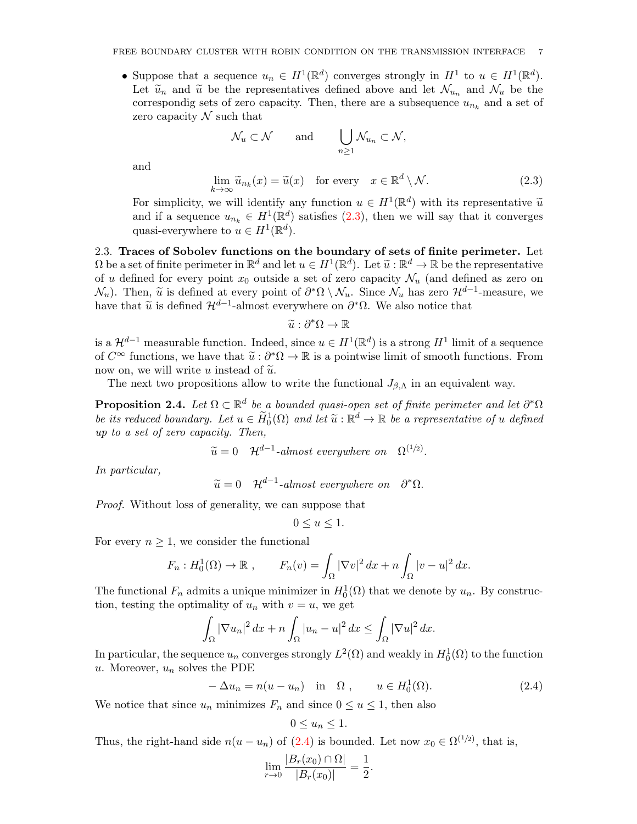• Suppose that a sequence  $u_n \in H^1(\mathbb{R}^d)$  converges strongly in  $H^1$  to  $u \in H^1(\mathbb{R}^d)$ . Let  $\tilde{u}_n$  and  $\tilde{u}$  be the representatives defined above and let  $\mathcal{N}_{u_n}$  and  $\mathcal{N}_u$  be the correspondig sets of zero capacity. Then, there are a subsequence  $u_{n_k}$  and a set of zero capacity  $\mathcal N$  such that

$$
\mathcal{N}_u \subset \mathcal{N} \quad \text{and} \quad \bigcup_{n \geq 1} \mathcal{N}_{u_n} \subset \mathcal{N},
$$

and

<span id="page-6-0"></span>
$$
\lim_{k \to \infty} \widetilde{u}_{n_k}(x) = \widetilde{u}(x) \quad \text{for every} \quad x \in \mathbb{R}^d \setminus \mathcal{N}.
$$
 (2.3)

For simplicity, we will identify any function  $u \in H^1(\mathbb{R}^d)$  with its representative  $\widetilde{u}$ <br>and if a socurate  $u \in H^1(\mathbb{R}^d)$  satisfies (2.3), then we will say that it converges and if a sequence  $u_{n_k} \in H^1(\mathbb{R}^d)$  satisfies [\(2.3\)](#page-6-0), then we will say that it converges quasi-everywhere to  $u \in H^1(\mathbb{R}^d)$ .

2.3. Traces of Sobolev functions on the boundary of sets of finite perimeter. Let  $\Omega$  be a set of finite perimeter in  $\mathbb{R}^d$  and let  $u \in H^1(\mathbb{R}^d)$ . Let  $\widetilde{u} : \mathbb{R}^d \to \mathbb{R}$  be the representative<br>of u defined for every point  $x_0$  outside a set of zero eppeity  $\mathcal{N}_c$  (and defined as ze of u defined for every point  $x_0$  outside a set of zero capacity  $\mathcal{N}_u$  (and defined as zero on  $\mathcal{N}_u$ ). Then,  $\tilde{u}$  is defined at every point of  $\partial^*\Omega \setminus \mathcal{N}_u$ . Since  $\mathcal{N}_u$  has zero  $\mathcal{H}^{d-1}$ -measure, we have that have that  $\tilde{u}$  is defined  $\mathcal{H}^{d-1}$ -almost everywhere on  $\partial^*\Omega$ . We also notice that

$$
\widetilde{u}:\partial^*\Omega\to\mathbb{R}
$$

is a  $\mathcal{H}^{d-1}$  measurable function. Indeed, since  $u \in H^1(\mathbb{R}^d)$  is a strong  $H^1$  limit of a sequence of  $C^{\infty}$  functions, we have that  $\tilde{u}: \partial^*\Omega \to \mathbb{R}$  is a pointwise limit of smooth functions. From now on, we will write u instead of  $\tilde{u}$ .

The next two propositions allow to write the functional  $J_{\beta,\Lambda}$  in an equivalent way.

<span id="page-6-2"></span>**Proposition 2.4.** Let  $\Omega \subset \mathbb{R}^d$  be a bounded quasi-open set of finite perimeter and let  $\partial^*\Omega$ be its reduced boundary. Let  $u \in \widetilde{H}_0^1(\Omega)$  and let  $\widetilde{u}: \mathbb{R}^d \to \mathbb{R}$  be a representative of u defined<br>in to a set of zero canceity. Then up to a set of zero capacity. Then,

$$
\widetilde{u} = 0 \quad \mathcal{H}^{d-1}\text{-almost everywhere on } \Omega^{(1/2)}.
$$

In particular,

 $\widetilde{u} = 0$   $\mathcal{H}^{d-1}$ -almost everywhere on  $\partial^* \Omega$ .

Proof. Without loss of generality, we can suppose that

$$
0 \le u \le 1.
$$

For every  $n \geq 1$ , we consider the functional

$$
F_n: H_0^1(\Omega) \to \mathbb{R} , \qquad F_n(v) = \int_{\Omega} |\nabla v|^2 dx + n \int_{\Omega} |v - u|^2 dx.
$$

The functional  $F_n$  admits a unique minimizer in  $H_0^1(\Omega)$  that we denote by  $u_n$ . By construction, testing the optimality of  $u_n$  with  $v = u$ , we get

$$
\int_{\Omega} |\nabla u_n|^2 \, dx + n \int_{\Omega} |u_n - u|^2 \, dx \le \int_{\Omega} |\nabla u|^2 \, dx.
$$

In particular, the sequence  $u_n$  converges strongly  $L^2(\Omega)$  and weakly in  $H_0^1(\Omega)$  to the function u. Moreover,  $u_n$  solves the PDE

<span id="page-6-1"></span>
$$
-\Delta u_n = n(u - u_n) \quad \text{in} \quad \Omega \;, \qquad u \in H_0^1(\Omega). \tag{2.4}
$$

.

We notice that since  $u_n$  minimizes  $F_n$  and since  $0 \le u \le 1$ , then also

$$
0 \le u_n \le 1.
$$

Thus, the right-hand side  $n(u - u_n)$  of [\(2.4\)](#page-6-1) is bounded. Let now  $x_0 \in \Omega^{(1/2)}$ , that is,

$$
\lim_{r \to 0} \frac{|B_r(x_0) \cap \Omega|}{|B_r(x_0)|} = \frac{1}{2}
$$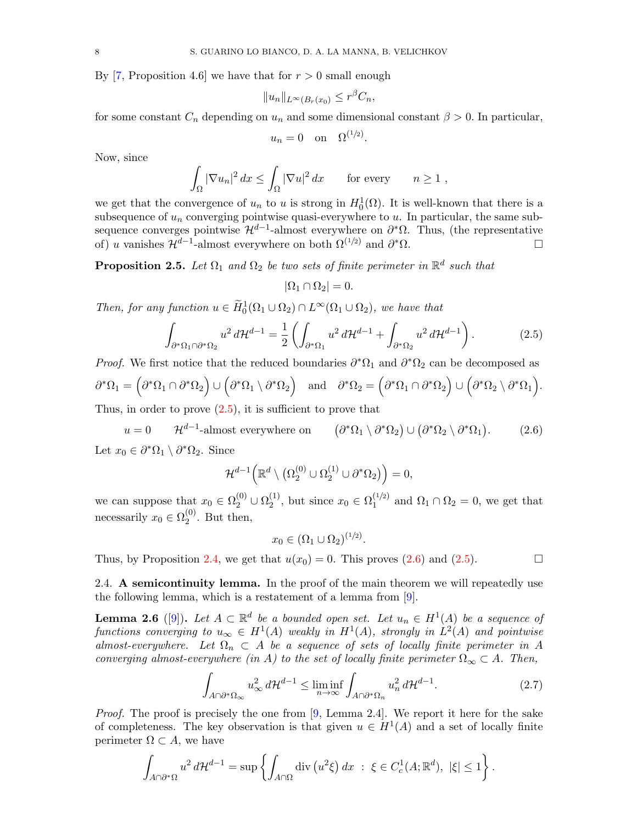By [\[7,](#page-22-5) Proposition 4.6] we have that for  $r > 0$  small enough

$$
||u_n||_{L^{\infty}(B_r(x_0)} \leq r^{\beta}C_n,
$$

for some constant  $C_n$  depending on  $u_n$  and some dimensional constant  $\beta > 0$ . In particular,

$$
u_n = 0 \quad \text{on} \quad \Omega^{(1/2)}
$$

.

Now, since

$$
\int_{\Omega} |\nabla u_n|^2 dx \le \int_{\Omega} |\nabla u|^2 dx \quad \text{for every} \quad n \ge 1,
$$

we get that the convergence of  $u_n$  to u is strong in  $H_0^1(\Omega)$ . It is well-known that there is a subsequence of  $u_n$  converging pointwise quasi-everywhere to u. In particular, the same subsequence converges pointwise  $\mathcal{H}^{d-1}$ -almost everywhere on  $\partial^*\Omega$ . Thus, (the representative of) u vanishes  $\mathcal{H}^{d-1}$ -almost everywhere on both  $\Omega^{(1/2)}$  and  $\partial^*\Omega$ .

**Proposition 2.5.** Let  $\Omega_1$  and  $\Omega_2$  be two sets of finite perimeter in  $\mathbb{R}^d$  such that

$$
|\Omega_1 \cap \Omega_2| = 0.
$$

Then, for any function  $u \in \widetilde{H}_0^1(\Omega_1 \cup \Omega_2) \cap L^{\infty}(\Omega_1 \cup \Omega_2)$ , we have that

<span id="page-7-0"></span>
$$
\int_{\partial^*\Omega_1 \cap \partial^*\Omega_2} u^2 d\mathcal{H}^{d-1} = \frac{1}{2} \left( \int_{\partial^*\Omega_1} u^2 d\mathcal{H}^{d-1} + \int_{\partial^*\Omega_2} u^2 d\mathcal{H}^{d-1} \right). \tag{2.5}
$$

*Proof.* We first notice that the reduced boundaries  $\partial^* \Omega_1$  and  $\partial^* \Omega_2$  can be decomposed as  $\partial^*\Omega_1 = \Big( \partial^*\Omega_1 \cap \partial^*\Omega_2 \Big) \cup \Big( \partial^*\Omega_1 \setminus \partial^*\Omega_2 \Big) \quad \text{and} \quad \partial^*\Omega_2 = \Big( \partial^*\Omega_1 \cap \partial^*\Omega_2 \Big) \cup \Big( \partial^*\Omega_2 \setminus \partial^*\Omega_1 \Big).$ Thus, in order to prove  $(2.5)$ , it is sufficient to prove that

<span id="page-7-1"></span> $u = 0$   $\mathcal{H}^{d-1}$ -almost everywhere on  $(\partial^*\Omega_1 \setminus \partial^*\Omega_2) \cup (\partial^*\Omega_2 \setminus \partial^*\Omega_1)$  $(2.6)$ Let  $x_0 \in \partial^* \Omega_1 \setminus \partial^* \Omega_2$ . Since

$$
\mathcal{H}^{d-1}\Big(\mathbb{R}^d\setminus\big(\Omega_2^{(0)}\cup\Omega_2^{(1)}\cup\partial^*\Omega_2\big)\Big)=0,
$$

we can suppose that  $x_0 \in \Omega_2^{(0)} \cup \Omega_2^{(1)}$  $_{2}^{(1)}$ , but since  $x_0 \in \Omega_1^{(1/2)}$  $\Omega_1^{(1/2)}$  and  $\Omega_1 \cap \Omega_2 = 0$ , we get that necessarily  $x_0 \in \Omega_2^{(0)}$  $2^{(0)}$ . But then,

$$
x_0 \in (\Omega_1 \cup \Omega_2)^{(1/2)}.
$$

Thus, by Proposition [2.4,](#page-6-2) we get that  $u(x_0) = 0$ . This proves  $(2.6)$  and  $(2.5)$ .

2.4. A semicontinuity lemma. In the proof of the main theorem we will repeatedly use the following lemma, which is a restatement of a lemma from [\[9\]](#page-22-4).

<span id="page-7-3"></span>**Lemma 2.6** ([\[9\]](#page-22-4)). Let  $A \subset \mathbb{R}^d$  be a bounded open set. Let  $u_n \in H^1(A)$  be a sequence of functions converging to  $u_{\infty} \in H^1(A)$  weakly in  $H^1(A)$ , strongly in  $L^2(A)$  and pointwise almost-everywhere. Let  $\Omega_n \subset A$  be a sequence of sets of locally finite perimeter in A converging almost-everywhere (in A) to the set of locally finite perimeter  $\Omega_{\infty} \subset A$ . Then,

<span id="page-7-2"></span>
$$
\int_{A\cap\partial^*\Omega_{\infty}} u_{\infty}^2 d\mathcal{H}^{d-1} \le \liminf_{n\to\infty} \int_{A\cap\partial^*\Omega_n} u_n^2 d\mathcal{H}^{d-1}.
$$
 (2.7)

*Proof.* The proof is precisely the one from  $[9, \text{ Lemma } 2.4]$  $[9, \text{ Lemma } 2.4]$ . We report it here for the sake of completeness. The key observation is that given  $u \in H^1(A)$  and a set of locally finite perimeter  $\Omega \subset A$ , we have

$$
\int_{A\cap\partial^*\Omega} u^2 d\mathcal{H}^{d-1} = \sup\left\{ \int_{A\cap\Omega} \mathrm{div}\left(u^2\xi\right) dx \ : \ \xi \in C^1_c(A; \mathbb{R}^d), \ |\xi| \le 1 \right\}.
$$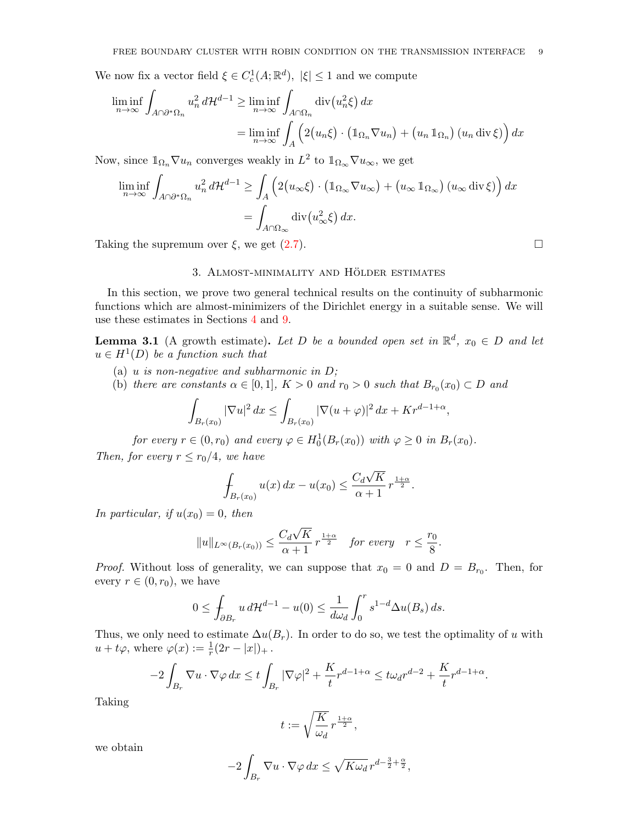We now fix a vector field  $\xi \in C_c^1(A; \mathbb{R}^d)$ ,  $|\xi| \leq 1$  and we compute

$$
\liminf_{n \to \infty} \int_{A \cap \partial^* \Omega_n} u_n^2 d\mathcal{H}^{d-1} \ge \liminf_{n \to \infty} \int_{A \cap \Omega_n} \operatorname{div}(u_n^2 \xi) dx
$$
  
= 
$$
\liminf_{n \to \infty} \int_A \left( 2(u_n \xi) \cdot (\mathbb{1}_{\Omega_n} \nabla u_n) + (u_n \mathbb{1}_{\Omega_n}) (u_n \operatorname{div} \xi) \right) dx
$$

Now, since  $\mathbb{1}_{\Omega_n} \nabla u_n$  converges weakly in  $L^2$  to  $\mathbb{1}_{\Omega_{\infty}} \nabla u_{\infty}$ , we get

$$
\liminf_{n \to \infty} \int_{A \cap \partial^* \Omega_n} u_n^2 d\mathcal{H}^{d-1} \ge \int_A \left( 2(u_\infty \xi) \cdot \left( \mathbb{1}_{\Omega_\infty} \nabla u_\infty \right) + \left( u_\infty \mathbb{1}_{\Omega_\infty} \right) \left( u_\infty \operatorname{div} \xi \right) \right) dx
$$

$$
= \int_{A \cap \Omega_\infty} \operatorname{div} \left( u_\infty^2 \xi \right) dx.
$$

Taking the supremum over  $\xi$ , we get  $(2.7)$ .

### 3. ALMOST-MINIMALITY AND HÖLDER ESTIMATES

In this section, we prove two general technical results on the continuity of subharmonic functions which are almost-minimizers of the Dirichlet energy in a suitable sense. We will use these estimates in Sections [4](#page-10-0) and [9.](#page-16-1)

<span id="page-8-0"></span>**Lemma 3.1** (A growth estimate). Let D be a bounded open set in  $\mathbb{R}^d$ ,  $x_0 \in D$  and let  $u \in H^1(D)$  be a function such that

- (a) u is non-negative and subharmonic in  $D$ ;
- (b) there are constants  $\alpha \in [0,1]$ ,  $K > 0$  and  $r_0 > 0$  such that  $B_{r_0}(x_0) \subset D$  and

$$
\int_{B_r(x_0)} |\nabla u|^2 \, dx \le \int_{B_r(x_0)} |\nabla (u+\varphi)|^2 \, dx + Kr^{d-1+\alpha}
$$

for every  $r \in (0, r_0)$  and every  $\varphi \in H_0^1(B_r(x_0))$  with  $\varphi \geq 0$  in  $B_r(x_0)$ . Then, for every  $r \le r_0/4$ , we have

$$
\int_{B_r(x_0)} u(x) dx - u(x_0) \le \frac{C_d \sqrt{K}}{\alpha + 1} r^{\frac{1+\alpha}{2}}.
$$

In particular, if  $u(x_0) = 0$ , then

$$
||u||_{L^{\infty}(B_r(x_0))} \leq \frac{C_d \sqrt{K}}{\alpha+1} r^{\frac{1+\alpha}{2}} \quad \text{for every} \quad r \leq \frac{r_0}{8}.
$$

*Proof.* Without loss of generality, we can suppose that  $x_0 = 0$  and  $D = B_{r_0}$ . Then, for every  $r \in (0, r_0)$ , we have

$$
0 \le \int_{\partial B_r} u \, d\mathcal{H}^{d-1} - u(0) \le \frac{1}{d\omega_d} \int_0^r s^{1-d} \Delta u(B_s) \, ds.
$$

Thus, we only need to estimate  $\Delta u(B_r)$ . In order to do so, we test the optimality of u with  $u + t\varphi$ , where  $\varphi(x) := \frac{1}{r}(2r - |x|)_{+}$ .

$$
-2\int_{B_r} \nabla u \cdot \nabla \varphi \, dx \le t \int_{B_r} |\nabla \varphi|^2 + \frac{K}{t} r^{d-1+\alpha} \le t \omega_d r^{d-2} + \frac{K}{t} r^{d-1+\alpha}.
$$

Taking

$$
t:=\sqrt{\frac{K}{\omega_d}}\,r^{\frac{1+\alpha}{2}},
$$

we obtain

$$
-2\int_{B_r} \nabla u \cdot \nabla \varphi \, dx \le \sqrt{K\omega_d} \, r^{d-\frac{3}{2}+\frac{\alpha}{2}},
$$

,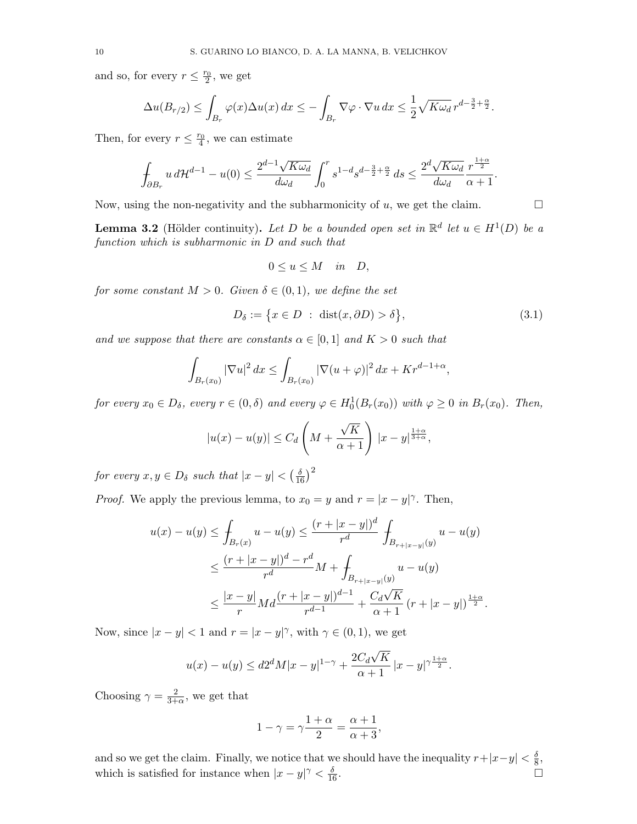and so, for every  $r \leq \frac{r_0}{2}$ , we get

$$
\Delta u(B_{r/2}) \le \int_{B_r} \varphi(x) \Delta u(x) dx \le -\int_{B_r} \nabla \varphi \cdot \nabla u dx \le \frac{1}{2} \sqrt{K \omega_d} r^{d - \frac{3}{2} + \frac{\alpha}{2}}.
$$

Then, for every  $r \leq \frac{r_0}{4}$ , we can estimate

$$
\int_{\partial B_r} u\,d\mathcal{H}^{d-1}-u(0)\leq \frac{2^{d-1}\sqrt{K\omega_d}}{d\omega_d}\int_0^r s^{1-d}s^{d-\frac{3}{2}+\frac{\alpha}{2}}\,ds\leq \frac{2^d\sqrt{K\omega_d}}{d\omega_d}\frac{r^{\frac{1+\alpha}{2}}}{\alpha+1}.
$$

Now, using the non-negativity and the subharmonicity of u, we get the claim.  $\Box$ 

<span id="page-9-1"></span>**Lemma 3.2** (Hölder continuity). Let D be a bounded open set in  $\mathbb{R}^d$  let  $u \in H^1(D)$  be a function which is subharmonic in D and such that

$$
0 \le u \le M \quad in \quad D,
$$

for some constant  $M > 0$ . Given  $\delta \in (0,1)$ , we define the set

<span id="page-9-0"></span>
$$
D_{\delta} := \{ x \in D : \operatorname{dist}(x, \partial D) > \delta \},\tag{3.1}
$$

and we suppose that there are constants  $\alpha \in [0,1]$  and  $K > 0$  such that

$$
\int_{B_r(x_0)} |\nabla u|^2 \, dx \le \int_{B_r(x_0)} |\nabla (u+\varphi)|^2 \, dx + Kr^{d-1+\alpha},
$$

for every  $x_0 \in D_\delta$ , every  $r \in (0, \delta)$  and every  $\varphi \in H_0^1(B_r(x_0))$  with  $\varphi \geq 0$  in  $B_r(x_0)$ . Then,

$$
|u(x) - u(y)| \le C_d \left( M + \frac{\sqrt{K}}{\alpha + 1} \right) |x - y|^{\frac{1 + \alpha}{3 + \alpha}},
$$

for every  $x, y \in D_{\delta}$  such that  $|x - y| < (\frac{\delta}{16})^2$ 

*Proof.* We apply the previous lemma, to  $x_0 = y$  and  $r = |x - y|^{\gamma}$ . Then,

$$
u(x) - u(y) \le \int_{B_r(x)} u - u(y) \le \frac{(r + |x - y|)^d}{r^d} \int_{B_{r+|x-y|}(y)} u - u(y)
$$
  

$$
\le \frac{(r + |x - y|)^d - r^d}{r^d} M + \int_{B_{r+|x-y|}(y)} u - u(y)
$$
  

$$
\le \frac{|x - y|}{r} M d \frac{(r + |x - y|)^{d-1}}{r^{d-1}} + \frac{C_d \sqrt{K}}{\alpha + 1} (r + |x - y|)^{\frac{1 + \alpha}{2}}.
$$

Now, since  $|x - y| < 1$  and  $r = |x - y|^\gamma$ , with  $\gamma \in (0, 1)$ , we get

$$
u(x) - u(y) \le d2^d M |x - y|^{1 - \gamma} + \frac{2C_d \sqrt{K}}{\alpha + 1} |x - y|^{\gamma \frac{1 + \alpha}{2}}.
$$

Choosing  $\gamma = \frac{2}{3+1}$  $\frac{2}{3+\alpha}$ , we get that

$$
1 - \gamma = \gamma \frac{1 + \alpha}{2} = \frac{\alpha + 1}{\alpha + 3},
$$

and so we get the claim. Finally, we notice that we should have the inequality  $r+|x-y| < \frac{\delta}{8}$  $\frac{\delta}{8}$ , which is satisfied for instance when  $|x-y|^{\gamma} < \frac{\delta}{16}$  $\frac{\delta}{16}$ .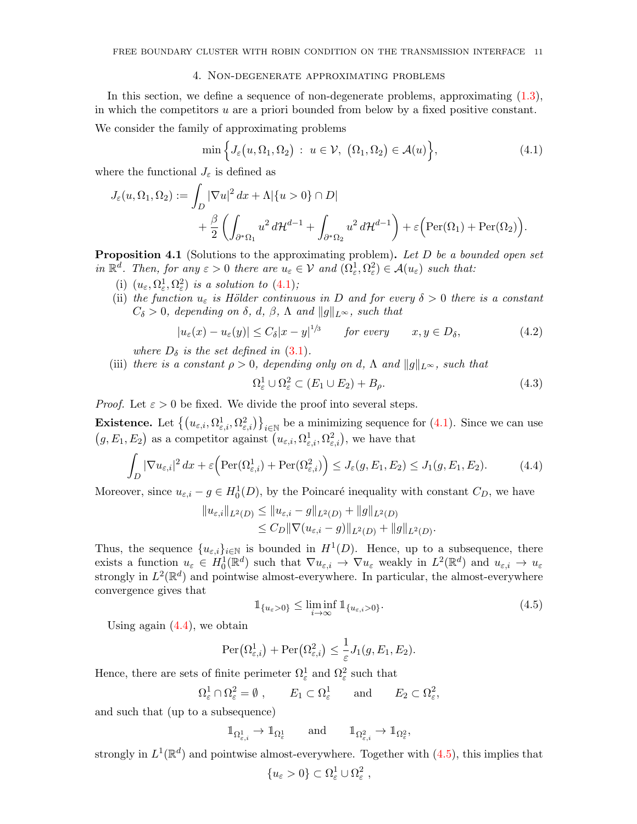### 4. Non-degenerate approximating problems

<span id="page-10-0"></span>In this section, we define a sequence of non-degenerate problems, approximating [\(1.3\)](#page-3-0), in which the competitors  $u$  are a priori bounded from below by a fixed positive constant. We consider the family of approximating problems

<span id="page-10-1"></span>
$$
\min\Big\{J_{\varepsilon}\big(u,\Omega_1,\Omega_2\big) : u \in \mathcal{V}, \; \big(\Omega_1,\Omega_2\big) \in \mathcal{A}(u)\Big\},\tag{4.1}
$$

where the functional  $J_{\varepsilon}$  is defined as

$$
J_{\varepsilon}(u,\Omega_1,\Omega_2) := \int_D |\nabla u|^2 dx + \Lambda |\{u > 0\} \cap D|
$$
  
+ 
$$
\frac{\beta}{2} \left( \int_{\partial^* \Omega_1} u^2 d\mathcal{H}^{d-1} + \int_{\partial^* \Omega_2} u^2 d\mathcal{H}^{d-1} \right) + \varepsilon \Big( \text{Per}(\Omega_1) + \text{Per}(\Omega_2) \Big).
$$

<span id="page-10-5"></span>**Proposition 4.1** (Solutions to the approximating problem). Let D be a bounded open set in  $\mathbb{R}^d$ . Then, for any  $\varepsilon > 0$  there are  $u_{\varepsilon} \in \mathcal{V}$  and  $(\Omega_{\varepsilon}^1, \Omega_{\varepsilon}^2) \in \mathcal{A}(u_{\varepsilon})$  such that:

- (i)  $(u_{\varepsilon}, \Omega_{\varepsilon}^1, \Omega_{\varepsilon}^2)$  is a solution to  $(4.1)$ ;
- (ii) the function  $u_{\varepsilon}$  is Hölder continuous in D and for every  $\delta > 0$  there is a constant  $C_{\delta} > 0$ , depending on  $\delta$ , d,  $\beta$ ,  $\Lambda$  and  $||g||_{L^{\infty}}$ , such that

$$
|u_{\varepsilon}(x) - u_{\varepsilon}(y)| \le C_{\delta} |x - y|^{1/3} \qquad \text{for every} \qquad x, y \in D_{\delta}, \tag{4.2}
$$

where  $D_{\delta}$  is the set defined in [\(3.1\)](#page-9-0).

(iii) there is a constant  $\rho > 0$ , depending only on d,  $\Lambda$  and  $||g||_{L^{\infty}}$ , such that

<span id="page-10-4"></span>
$$
\Omega_{\varepsilon}^{1} \cup \Omega_{\varepsilon}^{2} \subset (E_{1} \cup E_{2}) + B_{\rho}.
$$
\n(4.3)

*Proof.* Let  $\varepsilon > 0$  be fixed. We divide the proof into several steps.

**Existence.** Let  $\{(u_{\varepsilon,i}, \Omega_{\varepsilon,i}^1, \Omega_{\varepsilon,i}^2)\}_{i \in \mathbb{N}}$  be a minimizing sequence for [\(4.1\)](#page-10-1). Since we can use  $(g, E_1, E_2)$  as a competitor against  $(u_{\varepsilon,i}, \Omega_{\varepsilon,i}^1, \Omega_{\varepsilon,i}^2)$ , we have that

<span id="page-10-2"></span>
$$
\int_{D} |\nabla u_{\varepsilon,i}|^2 dx + \varepsilon \left( \text{Per}(\Omega_{\varepsilon,i}^1) + \text{Per}(\Omega_{\varepsilon,i}^2) \right) \le J_{\varepsilon}(g, E_1, E_2) \le J_1(g, E_1, E_2). \tag{4.4}
$$

Moreover, since  $u_{\varepsilon,i} - g \in H_0^1(D)$ , by the Poincaré inequality with constant  $C_D$ , we have

$$
||u_{\varepsilon,i}||_{L^2(D)} \le ||u_{\varepsilon,i} - g||_{L^2(D)} + ||g||_{L^2(D)}
$$
  
\n
$$
\le C_D ||\nabla (u_{\varepsilon,i} - g)||_{L^2(D)} + ||g||_{L^2(D)}.
$$

Thus, the sequence  ${u_{\varepsilon,i}}_{i\in\mathbb{N}}$  is bounded in  $H^1(D)$ . Hence, up to a subsequence, there exists a function  $u_{\varepsilon} \in H_0^1(\mathbb{R}^d)$  such that  $\nabla u_{\varepsilon,i} \to \nabla u_{\varepsilon}$  weakly in  $L^2(\mathbb{R}^d)$  and  $u_{\varepsilon,i} \to u_{\varepsilon}$ strongly in  $L^2(\mathbb{R}^d)$  and pointwise almost-everywhere. In particular, the almost-everywhere convergence gives that

<span id="page-10-3"></span>
$$
\mathbb{1}_{\{u_{\varepsilon}>0\}} \leq \liminf_{i \to \infty} \mathbb{1}_{\{u_{\varepsilon,i}>0\}}.
$$
\n(4.5)

Using again  $(4.4)$ , we obtain

$$
\operatorname{Per}(\Omega^1_{\varepsilon,i}) + \operatorname{Per}(\Omega^2_{\varepsilon,i}) \leq \frac{1}{\varepsilon} J_1(g,E_1,E_2).
$$

Hence, there are sets of finite perimeter  $\Omega_{\varepsilon}^1$  and  $\Omega_{\varepsilon}^2$  such that

$$
\Omega_{\varepsilon}^1 \cap \Omega_{\varepsilon}^2 = \emptyset , \qquad E_1 \subset \Omega_{\varepsilon}^1 \qquad \text{and} \qquad E_2 \subset \Omega_{\varepsilon}^2,
$$

and such that (up to a subsequence)

$$
\mathbbm{1}_{\Omega^1_{\varepsilon,i}}\rightarrow \mathbbm{1}_{\Omega^1_{\varepsilon}} \qquad \text{and} \qquad \mathbbm{1}_{\Omega^2_{\varepsilon,i}}\rightarrow \mathbbm{1}_{\Omega^2_{\varepsilon}},
$$

strongly in  $L^1(\mathbb{R}^d)$  and pointwise almost-everywhere. Together with  $(4.5)$ , this implies that

$$
\{u_{\varepsilon}>0\}\subset\Omega^1_{\varepsilon}\cup\Omega^2_{\varepsilon}\;,
$$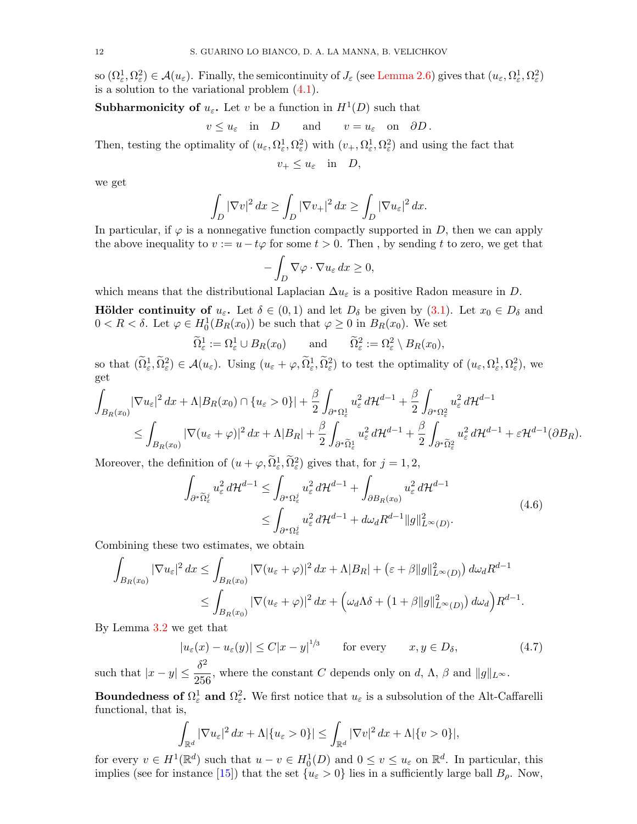so  $(\Omega_{\varepsilon}^1, \Omega_{\varepsilon}^2) \in \mathcal{A}(u_{\varepsilon})$ . Finally, the semicontinuity of  $J_{\varepsilon}$  (see [Lemma 2.6\)](#page-7-3) gives that  $(u_{\varepsilon}, \Omega_{\varepsilon}^1, \Omega_{\varepsilon}^2)$ is a solution to the variational problem  $(4.1)$ .

**Subharmonicity of**  $u_{\varepsilon}$ . Let v be a function in  $H^1(D)$  such that

$$
v \le u_{\varepsilon}
$$
 in  $D$  and  $v = u_{\varepsilon}$  on  $\partial D$ .

Then, testing the optimality of  $(u_\varepsilon, \Omega_\varepsilon^1, \Omega_\varepsilon^2)$  with  $(v_+, \Omega_\varepsilon^1, \Omega_\varepsilon^2)$  and using the fact that

$$
v_+ \le u_\varepsilon \quad \text{in} \quad D,
$$

we get

$$
\int_D |\nabla v|^2 dx \ge \int_D |\nabla v_+|^2 dx \ge \int_D |\nabla u_\varepsilon|^2 dx.
$$

In particular, if  $\varphi$  is a nonnegative function compactly supported in D, then we can apply the above inequality to  $v := u - t\varphi$  for some  $t > 0$ . Then, by sending t to zero, we get that

$$
-\int_D \nabla \varphi \cdot \nabla u_{\varepsilon} \, dx \ge 0,
$$

which means that the distributional Laplacian  $\Delta u_{\varepsilon}$  is a positive Radon measure in D.

**Hölder continuity of**  $u_{\varepsilon}$ . Let  $\delta \in (0,1)$  and let  $D_{\delta}$  be given by  $(3.1)$ . Let  $x_0 \in D_{\delta}$  and  $0 < R < \delta$ . Let  $\varphi \in H_0^1(B_R(x_0))$  be such that  $\varphi \ge 0$  in  $B_R(x_0)$ . We set

$$
\widetilde{\Omega}^1_{\varepsilon} := \Omega^1_{\varepsilon} \cup B_R(x_0) \quad \text{and} \quad \widetilde{\Omega}^2_{\varepsilon} := \Omega^2_{\varepsilon} \setminus B_R(x_0),
$$

so that  $(\widetilde{\Omega}_{\varepsilon}^1, \widetilde{\Omega}_{\varepsilon}^2) \in \mathcal{A}(u_{\varepsilon})$ . Using  $(u_{\varepsilon} + \varphi, \widetilde{\Omega}_{\varepsilon}^1, \widetilde{\Omega}_{\varepsilon}^2)$  to test the optimality of  $(u_{\varepsilon}, \Omega_{\varepsilon}^1, \Omega_{\varepsilon}^2)$ , we get

$$
\int_{B_R(x_0)} |\nabla u_{\varepsilon}|^2 dx + \Lambda |B_R(x_0) \cap \{u_{\varepsilon} > 0\}| + \frac{\beta}{2} \int_{\partial^* \Omega_{\varepsilon}^1} u_{\varepsilon}^2 d\mathcal{H}^{d-1} + \frac{\beta}{2} \int_{\partial^* \Omega_{\varepsilon}^2} u_{\varepsilon}^2 d\mathcal{H}^{d-1}
$$
\n
$$
\leq \int_{B_R(x_0)} |\nabla (u_{\varepsilon} + \varphi)|^2 dx + \Lambda |B_R| + \frac{\beta}{2} \int_{\partial^* \tilde{\Omega}_{\varepsilon}^1} u_{\varepsilon}^2 d\mathcal{H}^{d-1} + \frac{\beta}{2} \int_{\partial^* \tilde{\Omega}_{\varepsilon}^2} u_{\varepsilon}^2 d\mathcal{H}^{d-1} + \varepsilon \mathcal{H}^{d-1}(\partial B_R).
$$

Moreover, the definition of  $(u + \varphi, \tilde{\Omega}^1_{\varepsilon}, \tilde{\Omega}^2_{\varepsilon})$  gives that, for  $j = 1, 2$ ,

$$
\int_{\partial^*\widetilde{\Omega}^j_{\varepsilon}} u_{\varepsilon}^2 d\mathcal{H}^{d-1} \le \int_{\partial^*\Omega^j_{\varepsilon}} u_{\varepsilon}^2 d\mathcal{H}^{d-1} + \int_{\partial B_R(x_0)} u_{\varepsilon}^2 d\mathcal{H}^{d-1}
$$
\n
$$
\le \int_{\partial^*\Omega^j_{\varepsilon}} u_{\varepsilon}^2 d\mathcal{H}^{d-1} + d\omega_d R^{d-1} ||g||_{L^{\infty}(D)}^2.
$$
\n(4.6)

Combining these two estimates, we obtain

$$
\int_{B_R(x_0)} |\nabla u_{\varepsilon}|^2 dx \le \int_{B_R(x_0)} |\nabla (u_{\varepsilon} + \varphi)|^2 dx + \Lambda |B_R| + (\varepsilon + \beta ||g||^2_{L^{\infty}(D)}) d\omega_d R^{d-1}
$$
  

$$
\le \int_{B_R(x_0)} |\nabla (u_{\varepsilon} + \varphi)|^2 dx + \Big(\omega_d \Lambda \delta + (1 + \beta ||g||^2_{L^{\infty}(D)}) d\omega_d\Big) R^{d-1}.
$$

By Lemma [3.2](#page-9-1) we get that

$$
|u_{\varepsilon}(x) - u_{\varepsilon}(y)| \le C|x - y|^{1/3} \qquad \text{for every} \qquad x, y \in D_{\delta}, \tag{4.7}
$$

such that  $|x-y| \leq \frac{\delta^2}{25}$  $\frac{1}{256}$ , where the constant C depends only on d,  $\Lambda$ ,  $\beta$  and  $||g||_{L^{\infty}}$ .

Boundedness of  $\Omega^1_\varepsilon$  and  $\Omega^2_\varepsilon$ . We first notice that  $u_\varepsilon$  is a subsolution of the Alt-Caffarelli functional, that is,

$$
\int_{\mathbb{R}^d} |\nabla u_{\varepsilon}|^2 dx + \Lambda |\{u_{\varepsilon} > 0\}| \leq \int_{\mathbb{R}^d} |\nabla v|^2 dx + \Lambda |\{v > 0\}|,
$$

for every  $v \in H^1(\mathbb{R}^d)$  such that  $u - v \in H_0^1(D)$  and  $0 \le v \le u_\varepsilon$  on  $\mathbb{R}^d$ . In particular, this implies (see for instance [\[15\]](#page-22-6)) that the set  $\{u_{\varepsilon} > 0\}$  lies in a sufficiently large ball  $B_{\rho}$ . Now,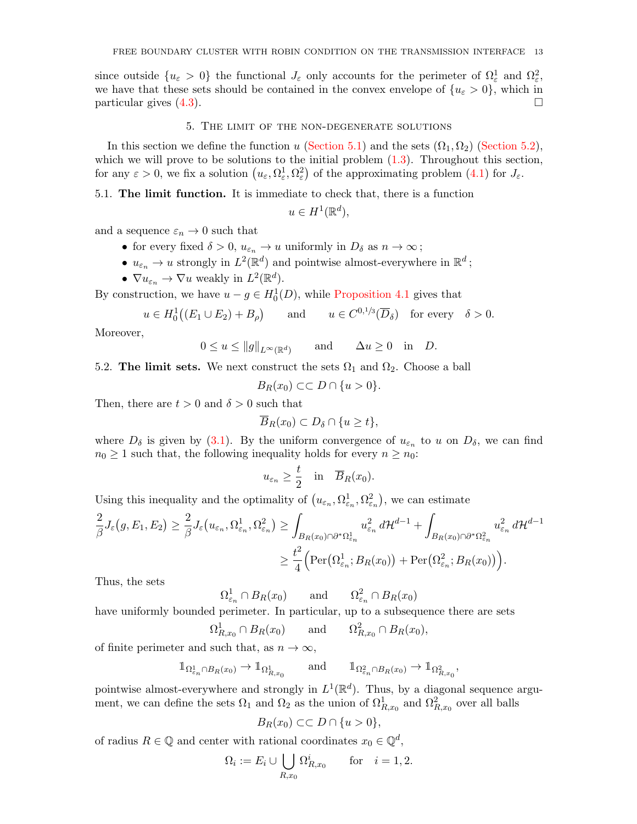since outside  $\{u_{\varepsilon} > 0\}$  the functional  $J_{\varepsilon}$  only accounts for the perimeter of  $\Omega_{\varepsilon}^1$  and  $\Omega_{\varepsilon}^2$ , we have that these sets should be contained in the convex envelope of  $\{u_{\varepsilon} > 0\}$ , which in particular gives  $(4.3)$ .

### 5. The limit of the non-degenerate solutions

In this section we define the function u [\(Section 5.1\)](#page-12-0) and the sets  $(\Omega_1, \Omega_2)$  [\(Section 5.2\)](#page-12-1), which we will prove to be solutions to the initial problem  $(1.3)$ . Throughout this section, for any  $\varepsilon > 0$ , we fix a solution  $(u_{\varepsilon}, \Omega_{\varepsilon}^1, \Omega_{\varepsilon}^2)$  of the approximating problem  $(4.1)$  for  $J_{\varepsilon}$ .

# <span id="page-12-0"></span>5.1. The limit function. It is immediate to check that, there is a function

 $u \in H^1(\mathbb{R}^d),$ 

and a sequence  $\varepsilon_n \to 0$  such that

- for every fixed  $\delta > 0$ ,  $u_{\varepsilon_n} \to u$  uniformly in  $D_\delta$  as  $n \to \infty$ ;
- $u_{\varepsilon_n} \to u$  strongly in  $L^2(\mathbb{R}^d)$  and pointwise almost-everywhere in  $\mathbb{R}^d$ ;
- $\nabla u_{\varepsilon_n} \to \nabla u$  weakly in  $L^2(\mathbb{R}^d)$ .

By construction, we have  $u - g \in H_0^1(D)$ , while [Proposition 4.1](#page-10-5) gives that

$$
u \in H_0^1((E_1 \cup E_2) + B_\rho)
$$
 and  $u \in C^{0,1/3}(\overline{D}_\delta)$  for every  $\delta > 0$ .

Moreover,

$$
0 \le u \le ||g||_{L^{\infty}(\mathbb{R}^d)}
$$
 and  $\Delta u \ge 0$  in D.

<span id="page-12-1"></span>5.2. The limit sets. We next construct the sets  $\Omega_1$  and  $\Omega_2$ . Choose a ball

$$
B_R(x_0) \subset\subset D\cap \{u>0\}.
$$

Then, there are  $t > 0$  and  $\delta > 0$  such that

$$
\overline{B}_R(x_0) \subset D_\delta \cap \{u \geq t\},\
$$

where  $D_{\delta}$  is given by [\(3.1\)](#page-9-0). By the uniform convergence of  $u_{\epsilon_n}$  to u on  $D_{\delta}$ , we can find  $n_0 \geq 1$  such that, the following inequality holds for every  $n \geq n_0$ :

$$
u_{\varepsilon_n} \geq \frac{t}{2}
$$
 in  $\overline{B}_R(x_0)$ .

Using this inequality and the optimality of  $(u_{\varepsilon_n}, \Omega_{\varepsilon_n}^1, \Omega_{\varepsilon_n}^2)$ , we can estimate

$$
\frac{2}{\beta}J_{\varepsilon}(g, E_1, E_2) \geq \frac{2}{\beta}J_{\varepsilon}(u_{\varepsilon_n}, \Omega_{\varepsilon_n}^1, \Omega_{\varepsilon_n}^2) \geq \int_{B_R(x_0)\cap \partial^*\Omega_{\varepsilon_n}^1} u_{\varepsilon_n}^2 d\mathcal{H}^{d-1} + \int_{B_R(x_0)\cap \partial^*\Omega_{\varepsilon_n}^2} u_{\varepsilon_n}^2 d\mathcal{H}^{d-1}
$$

$$
\geq \frac{t^2}{4} \Big( \text{Per}(\Omega_{\varepsilon_n}^1; B_R(x_0)) + \text{Per}(\Omega_{\varepsilon_n}^2; B_R(x_0)) \Big).
$$

Thus, the sets

 $\Omega_{\varepsilon_n}^1 \cap B_R(x_0)$  and  $\Omega_{\varepsilon_n}^2 \cap B_R(x_0)$ 

have uniformly bounded perimeter. In particular, up to a subsequence there are sets

$$
\Omega^1_{R,x_0} \cap B_R(x_0) \quad \text{and} \quad \Omega^2_{R,x_0} \cap B_R(x_0),
$$

of finite perimeter and such that, as  $n \to \infty$ ,

$$
\mathbb{1}_{\Omega^1_{\varepsilon_n} \cap B_R(x_0)} \to \mathbb{1}_{\Omega^1_{R,x_0}} \quad \text{and} \quad \mathbb{1}_{\Omega^2_{\varepsilon_n} \cap B_R(x_0)} \to \mathbb{1}_{\Omega^2_{R,x_0}},
$$

pointwise almost-everywhere and strongly in  $L^1(\mathbb{R}^d)$ . Thus, by a diagonal sequence argument, we can define the sets  $\Omega_1$  and  $\Omega_2$  as the union of  $\Omega^1_{R,x_0}$  and  $\Omega^2_{R,x_0}$  over all balls

$$
B_R(x_0) \subset\subset D\cap \{u>0\},\
$$

of radius  $R \in \mathbb{Q}$  and center with rational coordinates  $x_0 \in \mathbb{Q}^d$ ,

$$
\Omega_i := E_i \cup \bigcup_{R,x_0} \Omega_{R,x_0}^i \qquad \text{for} \quad i = 1, 2.
$$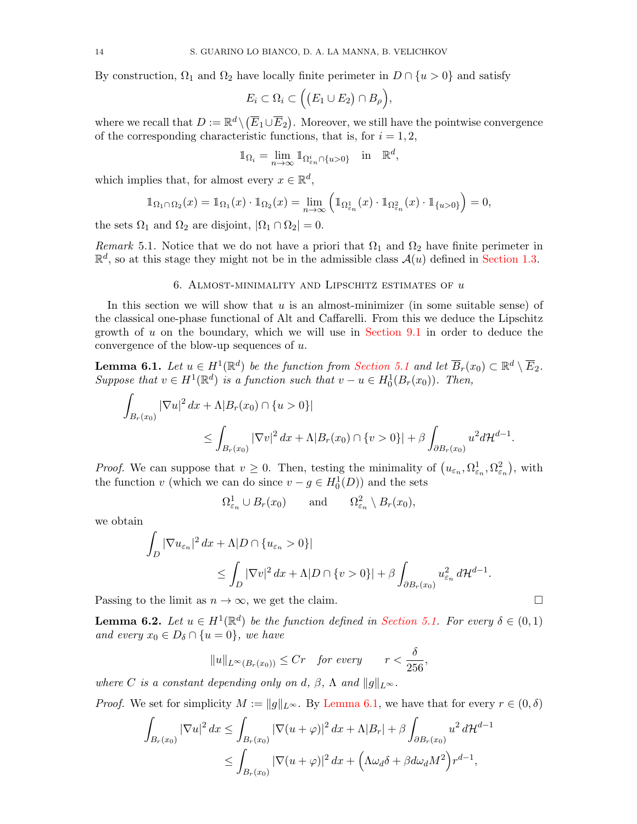By construction,  $\Omega_1$  and  $\Omega_2$  have locally finite perimeter in  $D \cap \{u > 0\}$  and satisfy

$$
E_i\subset\Omega_i\subset\Big(\big(E_1\cup E_2\big)\cap B_\rho\Big),\,
$$

where we recall that  $D := \mathbb{R}^d \setminus (\overline{E}_1 \cup \overline{E}_2)$ . Moreover, we still have the pointwise convergence of the corresponding characteristic functions, that is, for  $i = 1, 2$ ,

$$
\mathbb{1}_{\Omega_i} = \lim_{n \to \infty} \mathbb{1}_{\Omega_{\varepsilon_n}^i \cap \{u > 0\}} \quad \text{in} \quad \mathbb{R}^d,
$$

which implies that, for almost every  $x \in \mathbb{R}^d$ ,

$$
\mathbb{1}_{\Omega_1 \cap \Omega_2}(x) = \mathbb{1}_{\Omega_1}(x) \cdot \mathbb{1}_{\Omega_2}(x) = \lim_{n \to \infty} \left( \mathbb{1}_{\Omega_{\varepsilon_n}^1}(x) \cdot \mathbb{1}_{\Omega_{\varepsilon_n}^2}(x) \cdot \mathbb{1}_{\{u > 0\}} \right) = 0,
$$

the sets  $\Omega_1$  and  $\Omega_2$  are disjoint,  $|\Omega_1 \cap \Omega_2| = 0$ .

Remark 5.1. Notice that we do not have a priori that  $\Omega_1$  and  $\Omega_2$  have finite perimeter in  $\mathbb{R}^d$ , so at this stage they might not be in the admissible class  $\mathcal{A}(u)$  defined in [Section 1.3.](#page-2-0)

### 6. ALMOST-MINIMALITY AND LIPSCHITZ ESTIMATES OF  $u$

In this section we will show that  $u$  is an almost-minimizer (in some suitable sense) of the classical one-phase functional of Alt and Caffarelli. From this we deduce the Lipschitz growth of  $u$  on the boundary, which we will use in [Section 9.1](#page-17-0) in order to deduce the convergence of the blow-up sequences of u.

<span id="page-13-0"></span>**Lemma 6.1.** Let  $u \in H^1(\mathbb{R}^d)$  be the function from [Section 5.1](#page-12-0) and let  $\overline{B}_r(x_0) \subset \mathbb{R}^d \setminus \overline{E}_2$ . Suppose that  $v \in H^1(\mathbb{R}^d)$  is a function such that  $v - u \in H_0^1(B_r(x_0))$ . Then,

$$
\int_{B_r(x_0)} |\nabla u|^2 dx + \Lambda |B_r(x_0) \cap \{u > 0\}|
$$
  
\n
$$
\leq \int_{B_r(x_0)} |\nabla v|^2 dx + \Lambda |B_r(x_0) \cap \{v > 0\}| + \beta \int_{\partial B_r(x_0)} u^2 d\mathcal{H}^{d-1}.
$$

*Proof.* We can suppose that  $v \geq 0$ . Then, testing the minimality of  $(u_{\varepsilon_n}, \Omega_{\varepsilon_n}^1, \Omega_{\varepsilon_n}^2)$ , with the function v (which we can do since  $v - g \in H_0^1(D)$ ) and the sets

$$
\Omega_{\varepsilon_n}^1 \cup B_r(x_0) \quad \text{and} \quad \Omega_{\varepsilon_n}^2 \setminus B_r(x_0),
$$

we obtain

$$
\int_{D} |\nabla u_{\varepsilon_n}|^2 dx + \Lambda |D \cap \{u_{\varepsilon_n} > 0\}|
$$
  
\n
$$
\leq \int_{D} |\nabla v|^2 dx + \Lambda |D \cap \{v > 0\}| + \beta \int_{\partial B_r(x_0)} u_{\varepsilon_n}^2 d\mathcal{H}^{d-1}.
$$

Passing to the limit as  $n \to \infty$ , we get the claim.

<span id="page-13-1"></span>**Lemma 6.2.** Let  $u \in H^1(\mathbb{R}^d)$  be the function defined in [Section 5.1.](#page-12-0) For every  $\delta \in (0,1)$ and every  $x_0 \in D_\delta \cap \{u = 0\}$ , we have

$$
||u||_{L^{\infty}(B_r(x_0))} \leq Cr \quad \text{for every} \qquad r < \frac{\delta}{256},
$$

where C is a constant depending only on d,  $\beta$ ,  $\Lambda$  and  $||q||_{L^{\infty}}$ .

*Proof.* We set for simplicity  $M := ||g||_{L^{\infty}}$ . By [Lemma 6.1,](#page-13-0) we have that for every  $r \in (0, \delta)$ 

$$
\int_{B_r(x_0)} |\nabla u|^2 dx \le \int_{B_r(x_0)} |\nabla (u+\varphi)|^2 dx + \Lambda |B_r| + \beta \int_{\partial B_r(x_0)} u^2 d\mathcal{H}^{d-1}
$$
  

$$
\le \int_{B_r(x_0)} |\nabla (u+\varphi)|^2 dx + \left(\Lambda \omega_d \delta + \beta d\omega_d M^2\right) r^{d-1},
$$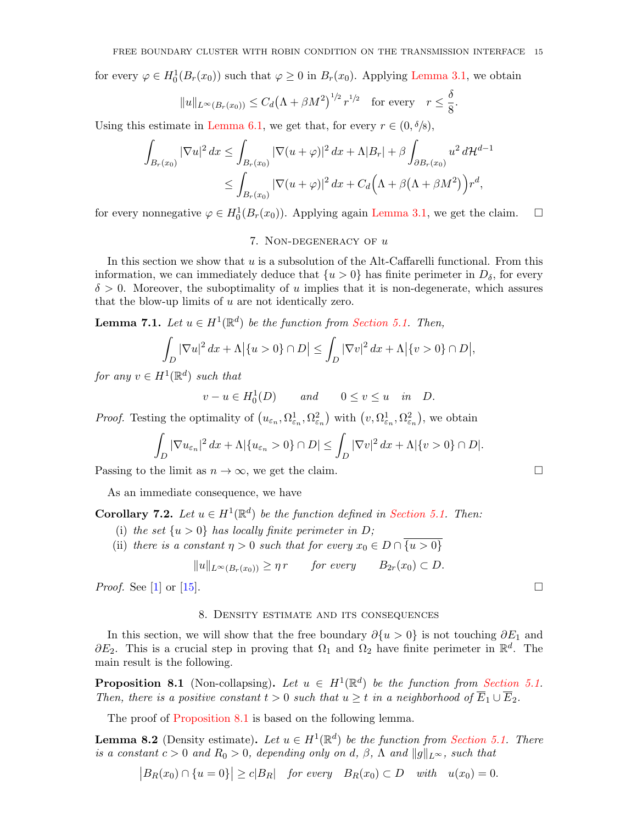for every  $\varphi \in H_0^1(B_r(x_0))$  such that  $\varphi \geq 0$  in  $B_r(x_0)$ . Applying [Lemma 3.1,](#page-8-0) we obtain

$$
||u||_{L^{\infty}(B_r(x_0))} \leq C_d \big(\Lambda + \beta M^2\big)^{1/2} r^{1/2} \quad \text{for every} \quad r \leq \frac{\delta}{8}.
$$

Using this estimate in [Lemma 6.1,](#page-13-0) we get that, for every  $r \in (0, \delta/8)$ ,

$$
\int_{B_r(x_0)} |\nabla u|^2 dx \le \int_{B_r(x_0)} |\nabla (u+\varphi)|^2 dx + \Lambda |B_r| + \beta \int_{\partial B_r(x_0)} u^2 d\mathcal{H}^{d-1}
$$
  

$$
\le \int_{B_r(x_0)} |\nabla (u+\varphi)|^2 dx + C_d \Big(\Lambda + \beta(\Lambda + \beta M^2)\Big) r^d,
$$

for every nonnegative  $\varphi \in H_0^1(B_r(x_0))$ . Applying again [Lemma 3.1,](#page-8-0) we get the claim.  $\Box$ 

# 7. NON-DEGENERACY OF  $u$

In this section we show that  $u$  is a subsolution of the Alt-Caffarelli functional. From this information, we can immediately deduce that  $\{u > 0\}$  has finite perimeter in  $D_{\delta}$ , for every  $\delta > 0$ . Moreover, the suboptimality of u implies that it is non-degenerate, which assures that the blow-up limits of u are not identically zero.

<span id="page-14-3"></span>**Lemma 7.1.** Let  $u \in H^1(\mathbb{R}^d)$  be the function from [Section 5.1.](#page-12-0) Then,

$$
\int_D |\nabla u|^2 dx + \Lambda |\{u > 0\} \cap D| \le \int_D |\nabla v|^2 dx + \Lambda |\{v > 0\} \cap D|,
$$

for any  $v \in H^1(\mathbb{R}^d)$  such that

$$
v - u \in H_0^1(D) \qquad and \qquad 0 \le v \le u \quad in \quad D.
$$

*Proof.* Testing the optimality of  $(u_{\varepsilon_n}, \Omega_{\varepsilon_n}^1, \Omega_{\varepsilon_n}^2)$  with  $(v, \Omega_{\varepsilon_n}^1, \Omega_{\varepsilon_n}^2)$ , we obtain

$$
\int_D |\nabla u_{\varepsilon_n}|^2 dx + \Lambda |\{u_{\varepsilon_n} > 0\} \cap D| \le \int_D |\nabla v|^2 dx + \Lambda |\{v > 0\} \cap D|.
$$

Passing to the limit as  $n \to \infty$ , we get the claim.

As an immediate consequence, we have

<span id="page-14-1"></span>**Corollary 7.2.** Let  $u \in H^1(\mathbb{R}^d)$  be the function defined in [Section 5.1.](#page-12-0) Then:

- (i) the set  $\{u > 0\}$  has locally finite perimeter in D;
- (ii) there is a constant  $\eta > 0$  such that for every  $x_0 \in D \cap \overline{\{u > 0\}}$

 $||u||_{L^{\infty}(B_r(x_0))} \geq \eta r$  for every  $B_{2r}(x_0) \subset D$ .

*Proof.* See [\[1\]](#page-22-0) or [\[15\]](#page-22-6).

# 8. Density estimate and its consequences

In this section, we will show that the free boundary  $\partial \{u > 0\}$  is not touching  $\partial E_1$  and  $\partial E_2$ . This is a crucial step in proving that  $\Omega_1$  and  $\Omega_2$  have finite perimeter in  $\mathbb{R}^d$ . The main result is the following.

<span id="page-14-0"></span>**Proposition 8.1** (Non-collapsing). Let  $u \in H^1(\mathbb{R}^d)$  be the function from [Section 5.1.](#page-12-0) Then, there is a positive constant  $t > 0$  such that  $u \geq t$  in a neighborhood of  $\overline{E}_1 \cup \overline{E}_2$ .

The proof of [Proposition 8.1](#page-14-0) is based on the following lemma.

<span id="page-14-2"></span>**Lemma 8.2** (Density estimate). Let  $u \in H^1(\mathbb{R}^d)$  be the function from [Section 5.1.](#page-12-0) There is a constant  $c > 0$  and  $R_0 > 0$ , depending only on d,  $\beta$ ,  $\Lambda$  and  $||g||_{L^{\infty}}$ , such that

 $|B_R(x_0) \cap \{u = 0\}| \ge c|B_R|$  for every  $B_R(x_0) \subset D$  with  $u(x_0) = 0$ .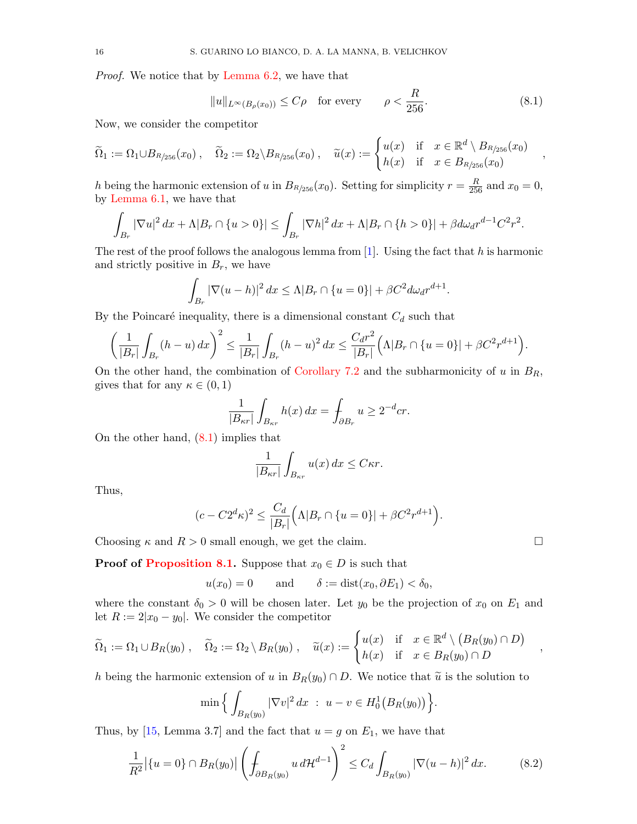Proof. We notice that by [Lemma 6.2,](#page-13-1) we have that

<span id="page-15-0"></span>
$$
||u||_{L^{\infty}(B_{\rho}(x_0))} \le C\rho \quad \text{for every} \qquad \rho < \frac{R}{256}.
$$
 (8.1)

,

Now, we consider the competitor

$$
\widetilde{\Omega}_1 := \Omega_1 \cup B_{R/256}(x_0) , \quad \widetilde{\Omega}_2 := \Omega_2 \setminus B_{R/256}(x_0) , \quad \widetilde{u}(x) := \begin{cases} u(x) & \text{if } x \in \mathbb{R}^d \setminus B_{R/256}(x_0) \\ h(x) & \text{if } x \in B_{R/256}(x_0) \end{cases}
$$

h being the harmonic extension of u in  $B_{R/256}(x_0)$ . Setting for simplicity  $r = \frac{R}{256}$  and  $x_0 = 0$ , by [Lemma 6.1,](#page-13-0) we have that

$$
\int_{B_r} |\nabla u|^2 \, dx + \Lambda |B_r \cap \{u > 0\}| \le \int_{B_r} |\nabla h|^2 \, dx + \Lambda |B_r \cap \{h > 0\}| + \beta d\omega_d r^{d-1} C^2 r^2.
$$

The rest of the proof follows the analogous lemma from  $[1]$ . Using the fact that h is harmonic and strictly positive in  $B_r$ , we have

$$
\int_{B_r} |\nabla(u-h)|^2 dx \le \Lambda |B_r \cap \{u=0\}| + \beta C^2 d\omega_d r^{d+1}.
$$

By the Poincaré inequality, there is a dimensional constant  $C_d$  such that

$$
\left(\frac{1}{|B_r|}\int_{B_r} (h-u) \, dx\right)^2 \le \frac{1}{|B_r|}\int_{B_r} (h-u)^2 \, dx \le \frac{C_d r^2}{|B_r|} \left(\Lambda |B_r \cap \{u=0\}| + \beta C^2 r^{d+1}\right).
$$

On the other hand, the combination of [Corollary 7.2](#page-14-1) and the subharmonicity of u in  $B_R$ , gives that for any  $\kappa \in (0,1)$ 

$$
\frac{1}{|B_{\kappa r}|}\int_{B_{\kappa r}} h(x) dx = \int_{\partial B_r} u \ge 2^{-d} cr.
$$

On the other hand, [\(8.1\)](#page-15-0) implies that

$$
\frac{1}{|B_{\kappa r}|}\int_{B_{\kappa r}} u(x) dx \leq C \kappa r.
$$

Thus,

$$
(c - C2^{d}\kappa)^{2} \le \frac{C_{d}}{|B_{r}|} (\Lambda |B_{r} \cap \{u = 0\}| + \beta C^{2} r^{d+1}).
$$

Choosing  $\kappa$  and  $R > 0$  small enough, we get the claim.

**Proof of [Proposition 8.1.](#page-14-0)** Suppose that  $x_0 \in D$  is such that

$$
u(x_0) = 0
$$
 and  $\delta := \text{dist}(x_0, \partial E_1) < \delta_0$ ,

where the constant  $\delta_0 > 0$  will be chosen later. Let  $y_0$  be the projection of  $x_0$  on  $E_1$  and let  $R := 2|x_0 - y_0|$ . We consider the competitor

$$
\widetilde{\Omega}_1 := \Omega_1 \cup B_R(y_0) , \quad \widetilde{\Omega}_2 := \Omega_2 \setminus B_R(y_0) , \quad \widetilde{u}(x) := \begin{cases} u(x) & \text{if } x \in \mathbb{R}^d \setminus (B_R(y_0) \cap D) \\ h(x) & \text{if } x \in B_R(y_0) \cap D \end{cases} ,
$$

h being the harmonic extension of u in  $B_R(y_0) \cap D$ . We notice that  $\tilde{u}$  is the solution to

$$
\min\Big\{\int_{B_R(y_0)}|\nabla v|^2\,dx\ :\ u-v\in H_0^1\big(B_R(y_0)\big)\Big\}.
$$

Thus, by [\[15,](#page-22-6) Lemma 3.7] and the fact that  $u = g$  on  $E_1$ , we have that

<span id="page-15-1"></span>
$$
\frac{1}{R^2} |\{u = 0\} \cap B_R(y_0)| \left( \int_{\partial B_R(y_0)} u \, d\mathcal{H}^{d-1} \right)^2 \le C_d \int_{B_R(y_0)} |\nabla (u - h)|^2 \, dx. \tag{8.2}
$$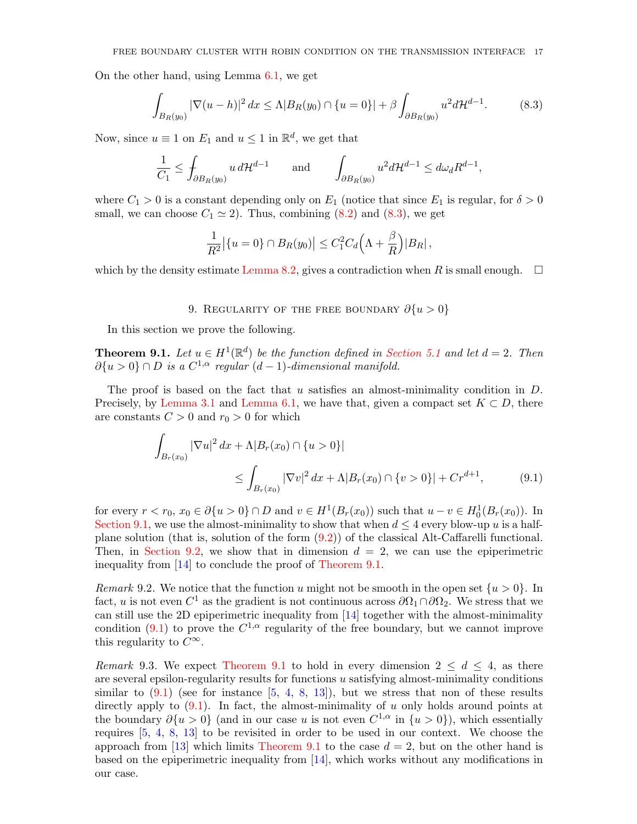On the other hand, using Lemma [6.1,](#page-13-0) we get

<span id="page-16-2"></span>
$$
\int_{B_R(y_0)} |\nabla(u-h)|^2 dx \le \Lambda |B_R(y_0) \cap \{u=0\}| + \beta \int_{\partial B_R(y_0)} u^2 d\mathcal{H}^{d-1}.
$$
 (8.3)

Now, since  $u \equiv 1$  on  $E_1$  and  $u \leq 1$  in  $\mathbb{R}^d$ , we get that

$$
\frac{1}{C_1} \le \int_{\partial B_R(y_0)} u \, d\mathcal{H}^{d-1} \qquad \text{and} \qquad \int_{\partial B_R(y_0)} u^2 d\mathcal{H}^{d-1} \le d\omega_d R^{d-1},
$$

where  $C_1 > 0$  is a constant depending only on  $E_1$  (notice that since  $E_1$  is regular, for  $\delta > 0$ small, we can choose  $C_1 \simeq 2$ . Thus, combining  $(8.2)$  and  $(8.3)$ , we get

$$
\frac{1}{R^2} \big| \{ u = 0 \} \cap B_R(y_0) \big| \leq C_1^2 C_d \Big( \Lambda + \frac{\beta}{R} \Big) |B_R| \,,
$$

which by the density estimate [Lemma 8.2,](#page-14-2) gives a contradiction when R is small enough.  $\square$ 

# <span id="page-16-3"></span>9. REGULARITY OF THE FREE BOUNDARY  $\partial \{u > 0\}$

<span id="page-16-1"></span>In this section we prove the following.

<span id="page-16-0"></span>**Theorem 9.1.** Let  $u \in H^1(\mathbb{R}^d)$  be the function defined in [Section 5.1](#page-12-0) and let  $d = 2$ . Then  $\partial \{u > 0\} \cap D$  is a  $C^{1,\alpha}$  regular  $(d-1)$ -dimensional manifold.

The proof is based on the fact that u satisfies an almost-minimality condition in  $D$ . Precisely, by [Lemma 3.1](#page-8-0) and [Lemma 6.1,](#page-13-0) we have that, given a compact set  $K \subset D$ , there are constants  $C > 0$  and  $r_0 > 0$  for which

$$
\int_{B_r(x_0)} |\nabla u|^2 dx + \Lambda |B_r(x_0) \cap \{u > 0\}|
$$
\n
$$
\leq \int_{B_r(x_0)} |\nabla v|^2 dx + \Lambda |B_r(x_0) \cap \{v > 0\}| + Cr^{d+1}, \tag{9.1}
$$

for every  $r < r_0$ ,  $x_0 \in \partial \{u > 0\} \cap D$  and  $v \in H^1(B_r(x_0))$  such that  $u - v \in H_0^1(B_r(x_0))$ . In [Section 9.1,](#page-17-0) we use the almost-minimality to show that when  $d \leq 4$  every blow-up u is a halfplane solution (that is, solution of the form [\(9.2\)](#page-17-1)) of the classical Alt-Caffarelli functional. Then, in [Section 9.2,](#page-17-2) we show that in dimension  $d = 2$ , we can use the epiperimetric inequality from [\[14\]](#page-22-2) to conclude the proof of [Theorem 9.1.](#page-16-0)

Remark 9.2. We notice that the function u might not be smooth in the open set  $\{u > 0\}$ . In fact, u is not even  $C^1$  as the gradient is not continuous across  $\partial\Omega_1 \cap \partial\Omega_2$ . We stress that we can still use the 2D epiperimetric inequality from [\[14\]](#page-22-2) together with the almost-minimality condition [\(9.1\)](#page-16-3) to prove the  $C^{1,\alpha}$  regularity of the free boundary, but we cannot improve this regularity to  $C^{\infty}$ .

Remark 9.3. We expect [Theorem 9.1](#page-16-0) to hold in every dimension  $2 \leq d \leq 4$ , as there are several epsilon-regularity results for functions u satisfying almost-minimality conditions similar to  $(9.1)$  (see for instance  $[5, 4, 8, 13]$  $[5, 4, 8, 13]$  $[5, 4, 8, 13]$  $[5, 4, 8, 13]$  $[5, 4, 8, 13]$  $[5, 4, 8, 13]$  $[5, 4, 8, 13]$ ), but we stress that non of these results directly apply to  $(9.1)$ . In fact, the almost-minimality of u only holds around points at the boundary  $\partial \{u > 0\}$  (and in our case u is not even  $C^{1,\alpha}$  in  $\{u > 0\}$ ), which essentially requires [\[5,](#page-22-7) [4,](#page-22-8) [8,](#page-22-9) [13\]](#page-22-10) to be revisited in order to be used in our context. We choose the approach from [\[13\]](#page-22-10) which limits [Theorem 9.1](#page-16-0) to the case  $d = 2$ , but on the other hand is based on the epiperimetric inequality from [\[14\]](#page-22-2), which works without any modifications in our case.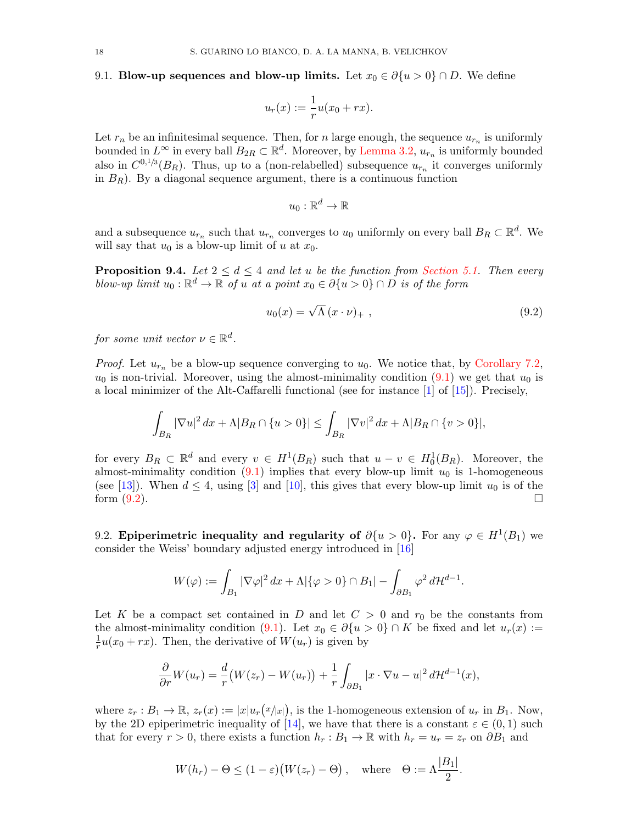# <span id="page-17-0"></span>9.1. Blow-up sequences and blow-up limits. Let  $x_0 \in \partial \{u > 0\} \cap D$ . We define

$$
u_r(x) := \frac{1}{r}u(x_0 + rx).
$$

Let  $r_n$  be an infinitesimal sequence. Then, for n large enough, the sequence  $u_{r_n}$  is uniformly bounded in  $L^{\infty}$  in every ball  $B_{2R} \subset \mathbb{R}^d$ . Moreover, by [Lemma 3.2,](#page-9-1)  $u_{r_n}$  is uniformly bounded also in  $C^{0,1/3}(B_R)$ . Thus, up to a (non-relabelled) subsequence  $u_{r_n}$  it converges uniformly in  $B_R$ ). By a diagonal sequence argument, there is a continuous function

$$
u_0:\mathbb{R}^d\to\mathbb{R}
$$

and a subsequence  $u_{r_n}$  such that  $u_{r_n}$  converges to  $u_0$  uniformly on every ball  $B_R \subset \mathbb{R}^d$ . We will say that  $u_0$  is a blow-up limit of u at  $x_0$ .

**Proposition 9.4.** Let  $2 \leq d \leq 4$  and let u be the function from [Section 5.1.](#page-12-0) Then every blow-up limit  $u_0 : \mathbb{R}^d \to \mathbb{R}$  of u at a point  $x_0 \in \partial \{u > 0\} \cap D$  is of the form

<span id="page-17-1"></span>
$$
u_0(x) = \sqrt{\Lambda} (x \cdot \nu)_+ , \qquad (9.2)
$$

for some unit vector  $\nu \in \mathbb{R}^d$ .

*Proof.* Let  $u_{r_n}$  be a blow-up sequence converging to  $u_0$ . We notice that, by [Corollary 7.2,](#page-14-1)  $u_0$  is non-trivial. Moreover, using the almost-minimality condition  $(9.1)$  we get that  $u_0$  is a local minimizer of the Alt-Caffarelli functional (see for instance [\[1\]](#page-22-0) of [\[15\]](#page-22-6)). Precisely,

$$
\int_{B_R} |\nabla u|^2 \, dx + \Lambda |B_R \cap \{u > 0\}| \le \int_{B_R} |\nabla v|^2 \, dx + \Lambda |B_R \cap \{v > 0\}|,
$$

for every  $B_R \subset \mathbb{R}^d$  and every  $v \in H^1(B_R)$  such that  $u - v \in H_0^1(B_R)$ . Moreover, the almost-minimality condition  $(9.1)$  implies that every blow-up limit  $u_0$  is 1-homogeneous (see [\[13\]](#page-22-10)). When  $d \leq 4$ , using [\[3\]](#page-22-11) and [\[10\]](#page-22-12), this gives that every blow-up limit  $u_0$  is of the form  $(9.2)$ .

<span id="page-17-2"></span>9.2. Epiperimetric inequality and regularity of  $\partial \{u > 0\}$ . For any  $\varphi \in H^1(B_1)$  we consider the Weiss' boundary adjusted energy introduced in [\[16\]](#page-23-0)

$$
W(\varphi) := \int_{B_1} |\nabla \varphi|^2 dx + \Lambda |\{\varphi > 0\} \cap B_1| - \int_{\partial B_1} \varphi^2 d\mathcal{H}^{d-1}.
$$

Let K be a compact set contained in D and let  $C > 0$  and  $r_0$  be the constants from the almost-minimality condition [\(9.1\)](#page-16-3). Let  $x_0 \in \partial \{u > 0\} \cap K$  be fixed and let  $u_r(x) :=$ 1  $\frac{1}{r}u(x_0+rx)$ . Then, the derivative of  $W(u_r)$  is given by

$$
\frac{\partial}{\partial r}W(u_r) = \frac{d}{r}(W(z_r) - W(u_r)) + \frac{1}{r}\int_{\partial B_1}|x\cdot \nabla u - u|^2 d\mathcal{H}^{d-1}(x),
$$

where  $z_r : B_1 \to \mathbb{R}$ ,  $z_r(x) := |x| u_r(x/x)$ , is the 1-homogeneous extension of  $u_r$  in  $B_1$ . Now, by the 2D epiperimetric inequality of [\[14\]](#page-22-2), we have that there is a constant  $\varepsilon \in (0,1)$  such that for every  $r > 0$ , there exists a function  $h_r : B_1 \to \mathbb{R}$  with  $h_r = u_r = z_r$  on  $\partial B_1$  and

$$
W(h_r) - \Theta \le (1 - \varepsilon) (W(z_r) - \Theta), \quad \text{where} \quad \Theta := \Lambda \frac{|B_1|}{2}.
$$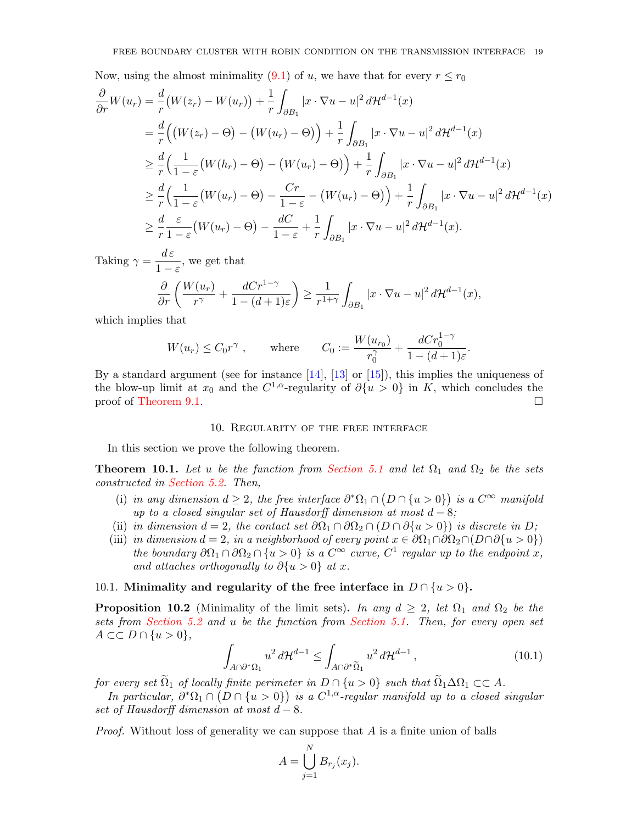Now, using the almost minimality (9.1) of *u*, we have that for every 
$$
r \le r_0
$$
  
\n
$$
\frac{\partial}{\partial r}W(u_r) = \frac{d}{r}(W(z_r) - W(u_r)) + \frac{1}{r}\int_{\partial B_1} |x \cdot \nabla u - u|^2 d\mathcal{H}^{d-1}(x)
$$
\n
$$
= \frac{d}{r}\Big(\big(W(z_r) - \Theta\big) - \big(W(u_r) - \Theta\big)\Big) + \frac{1}{r}\int_{\partial B_1} |x \cdot \nabla u - u|^2 d\mathcal{H}^{d-1}(x)
$$
\n
$$
\ge \frac{d}{r}\Big(\frac{1}{1-\varepsilon}\big(W(h_r) - \Theta\big) - \big(W(u_r) - \Theta\big)\Big) + \frac{1}{r}\int_{\partial B_1} |x \cdot \nabla u - u|^2 d\mathcal{H}^{d-1}(x)
$$
\n
$$
\ge \frac{d}{r}\Big(\frac{1}{1-\varepsilon}\big(W(u_r) - \Theta\big) - \frac{Cr}{1-\varepsilon} - \big(W(u_r) - \Theta\big)\Big) + \frac{1}{r}\int_{\partial B_1} |x \cdot \nabla u - u|^2 d\mathcal{H}^{d-1}(x)
$$
\n
$$
\ge \frac{d}{r}\frac{\varepsilon}{1-\varepsilon}\big(W(u_r) - \Theta\big) - \frac{dC}{1-\varepsilon} + \frac{1}{r}\int_{\partial B_1} |x \cdot \nabla u - u|^2 d\mathcal{H}^{d-1}(x).
$$

Taking  $\gamma = \frac{d\,\varepsilon}{1}$  $\frac{d\epsilon}{1-\epsilon}$ , we get that  $\partial$  $W(u_r)$ 

$$
\frac{\partial}{\partial r}\left(\frac{W(u_r)}{r^{\gamma}} + \frac{dCr^{1-\gamma}}{1 - (d+1)\varepsilon}\right) \ge \frac{1}{r^{1+\gamma}} \int_{\partial B_1} |x \cdot \nabla u - u|^2 d\mathcal{H}^{d-1}(x),
$$

which implies that

$$
W(u_r) \leq C_0 r^{\gamma} , \qquad \text{where} \qquad C_0 := \frac{W(u_{r_0})}{r_0^{\gamma}} + \frac{dCr_0^{1-\gamma}}{1 - (d+1)\varepsilon}.
$$

By a standard argument (see for instance  $[14]$ ,  $[13]$  or  $[15]$ ), this implies the uniqueness of the blow-up limit at  $x_0$  and the  $C^{1,\alpha}$ -regularity of  $\partial \{u>0\}$  in K, which concludes the proof of [Theorem 9.1.](#page-16-0)

### 10. Regularity of the free interface

In this section we prove the following theorem.

<span id="page-18-0"></span>**Theorem 10.1.** Let u be the function from [Section 5.1](#page-12-0) and let  $\Omega_1$  and  $\Omega_2$  be the sets constructed in [Section 5.2.](#page-12-1) Then,

- (i) in any dimension  $d \geq 2$ , the free interface  $\partial^* \Omega_1 \cap (D \cap \{u > 0\})$  is a  $C^{\infty}$  manifold up to a closed singular set of Hausdorff dimension at most  $d - 8$ ;
- (ii) in dimension  $d = 2$ , the contact set  $\partial \Omega_1 \cap \partial \Omega_2 \cap (D \cap \partial \{u > 0\})$  is discrete in D;
- (iii) in dimension  $d = 2$ , in a neighborhood of every point  $x \in \partial \Omega_1 \cap \partial \Omega_2 \cap (D \cap \partial \{u > 0\})$ the boundary  $\partial\Omega_1 \cap \partial\Omega_2 \cap \{u > 0\}$  is a  $C^{\infty}$  curve,  $C^1$  regular up to the endpoint x, and attaches orthogonally to  $\partial \{u > 0\}$  at x.

# 10.1. Minimality and regularity of the free interface in  $D \cap \{u > 0\}$ .

<span id="page-18-2"></span>**Proposition 10.2** (Minimality of the limit sets). In any  $d \geq 2$ , let  $\Omega_1$  and  $\Omega_2$  be the sets from [Section 5.2](#page-12-1) and u be the function from [Section 5.1.](#page-12-0) Then, for every open set  $A \subset\subset D \cap \{u>0\},\$ 

<span id="page-18-1"></span>
$$
\int_{A\cap\partial^*\Omega_1} u^2 d\mathcal{H}^{d-1} \le \int_{A\cap\partial^*\tilde{\Omega}_1} u^2 d\mathcal{H}^{d-1},\tag{10.1}
$$

for every set  $\widetilde{\Omega}_1$  of locally finite perimeter in  $D \cap \{u > 0\}$  such that  $\widetilde{\Omega}_1 \Delta \Omega_1 \subset \subset A$ .

In particular,  $\partial^*\Omega_1 \cap (D \cap \{u > 0\})$  is a  $C^{1,\alpha}$ -regular manifold up to a closed singular set of Hausdorff dimension at most  $d - 8$ .

*Proof.* Without loss of generality we can suppose that  $A$  is a finite union of balls

$$
A = \bigcup_{j=1}^{N} B_{r_j}(x_j).
$$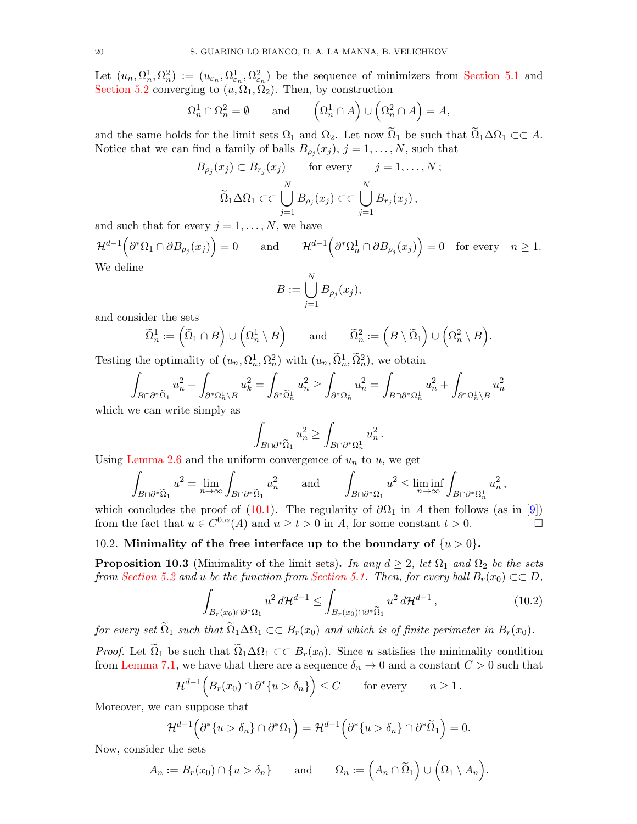Let  $(u_n, \Omega_n^1, \Omega_n^2) := (u_{\varepsilon_n}, \Omega_{\varepsilon_n}^1, \Omega_{\varepsilon_n}^2)$  be the sequence of minimizers from [Section 5.1](#page-12-0) and [Section 5.2](#page-12-1) converging to  $(u, \Omega_1, \Omega_2)$ . Then, by construction

$$
\Omega_n^1 \cap \Omega_n^2 = \emptyset \quad \text{and} \quad \left(\Omega_n^1 \cap A\right) \cup \left(\Omega_n^2 \cap A\right) = A,
$$

and the same holds for the limit sets  $\Omega_1$  and  $\Omega_2$ . Let now  $\Omega_1$  be such that  $\Omega_1 \Delta \Omega_1 \subset \subset A$ . Notice that we can find a family of balls  $B_{\rho_j}(x_j)$ ,  $j = 1, \ldots, N$ , such that

$$
B_{\rho_j}(x_j) \subset B_{r_j}(x_j) \quad \text{for every} \quad j = 1, ..., N;
$$
  

$$
\widetilde{\Omega}_1 \Delta \Omega_1 \subset \subset \bigcup_{j=1}^N B_{\rho_j}(x_j) \subset \subset \bigcup_{j=1}^N B_{r_j}(x_j),
$$

and such that for every  $j = 1, \ldots, N$ , we have

 $\mathcal{H}^{d-1}\Big(\partial^*\Omega_1\cap \partial B_{\rho_j}(x_j)\Big)=0\qquad\text{and}\qquad \mathcal{H}^{d-1}\Big(\partial^*\Omega_n^1\cap \partial B_{\rho_j}(x_j)\Big)=0\quad\text{for every}\quad n\geq 1.$ We define

$$
B := \bigcup_{j=1}^N B_{\rho_j}(x_j),
$$

and consider the sets

$$
\widetilde{\Omega}_n^1 := \left( \widetilde{\Omega}_1 \cap B \right) \cup \left( \Omega_n^1 \setminus B \right) \quad \text{and} \quad \widetilde{\Omega}_n^2 := \left( B \setminus \widetilde{\Omega}_1 \right) \cup \left( \Omega_n^2 \setminus B \right).
$$

Testing the optimality of  $(u_n, \Omega_n^1, \Omega_n^2)$  with  $(u_n, \tilde{\Omega}_n^1, \tilde{\Omega}_n^2)$ , we obtain

$$
\int_{B\cap \partial^*\widetilde{\Omega}_1} u_n^2 + \int_{\partial^*\Omega_n^1\setminus B} u_k^2 = \int_{\partial^*\widetilde{\Omega}_n^1} u_n^2 \ge \int_{\partial^*\Omega_n^1} u_n^2 = \int_{B\cap \partial^*\Omega_n^1} u_n^2 + \int_{\partial^*\Omega_n^1\setminus B} u_n^2
$$

which we can write simply as

$$
\int_{B\cap \partial^*\tilde{\Omega}_1} u_n^2 \geq \int_{B\cap \partial^*\Omega_n^1} u_n^2\,.
$$

Using [Lemma 2.6](#page-7-3) and the uniform convergence of  $u_n$  to  $u$ , we get

$$
\int_{B\cap\partial^*\tilde{\Omega}_1} u^2 = \lim_{n\to\infty} \int_{B\cap\partial^*\tilde{\Omega}_1} u_n^2 \quad \text{and} \quad \int_{B\cap\partial^*\Omega_1} u^2 \le \liminf_{n\to\infty} \int_{B\cap\partial^*\Omega_n^1} u_n^2,
$$

which concludes the proof of [\(10.1\)](#page-18-1). The regularity of  $\partial\Omega_1$  in A then follows (as in [\[9\]](#page-22-4)) from the fact that  $u \in C^{0,\alpha}(A)$  and  $u \ge t > 0$  in A, for some constant  $t > 0$ .

# 10.2. Minimality of the free interface up to the boundary of  $\{u > 0\}$ .

<span id="page-19-1"></span>**Proposition 10.3** (Minimality of the limit sets). In any  $d \geq 2$ , let  $\Omega_1$  and  $\Omega_2$  be the sets from [Section 5.2](#page-12-1) and u be the function from [Section 5.1.](#page-12-0) Then, for every ball  $B_r(x_0) \subset\subset D$ ,

<span id="page-19-0"></span>
$$
\int_{B_r(x_0)\cap\partial^*\Omega_1} u^2 d\mathcal{H}^{d-1} \le \int_{B_r(x_0)\cap\partial^*\widetilde{\Omega}_1} u^2 d\mathcal{H}^{d-1},\tag{10.2}
$$

for every set  $\tilde{\Omega}_1$  such that  $\tilde{\Omega}_1 \Delta \Omega_1 \subset \subset B_r(x_0)$  and which is of finite perimeter in  $B_r(x_0)$ .

*Proof.* Let  $\tilde{\Omega}_1$  be such that  $\tilde{\Omega}_1 \Delta \Omega_1 \subset B_r(x_0)$ . Since u satisfies the minimality condition from [Lemma 7.1,](#page-14-3) we have that there are a sequence  $\delta_n \to 0$  and a constant  $C > 0$  such that

$$
\mathcal{H}^{d-1}\Big(B_r(x_0)\cap\partial^*\{u>\delta_n\}\Big)\leq C\qquad\text{for every}\qquad n\geq 1\,.
$$

Moreover, we can suppose that

$$
\mathcal{H}^{d-1}\Big(\partial^*\{u>\delta_n\}\cap\partial^*\Omega_1\Big)=\mathcal{H}^{d-1}\Big(\partial^*\{u>\delta_n\}\cap\partial^*\widetilde{\Omega}_1\Big)=0.
$$

Now, consider the sets

$$
A_n := B_r(x_0) \cap \{u > \delta_n\} \quad \text{and} \quad \Omega_n := \left(A_n \cap \widetilde{\Omega}_1\right) \cup \left(\Omega_1 \setminus A_n\right).
$$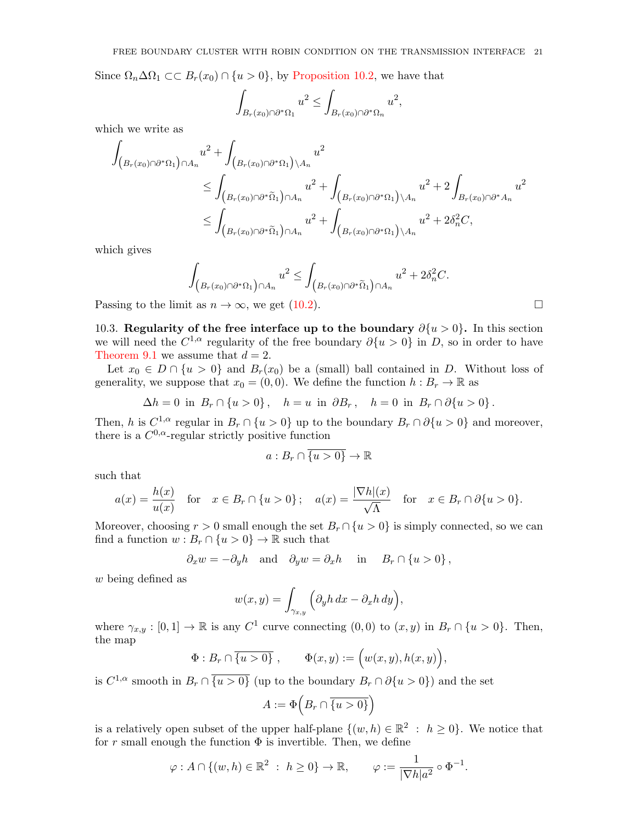Since  $\Omega_n \Delta \Omega_1 \subset B_r(x_0) \cap \{u > 0\}$ , by [Proposition 10.2,](#page-18-2) we have that

$$
\int_{B_r(x_0)\cap \partial^*\Omega_1} u^2 \leq \int_{B_r(x_0)\cap \partial^*\Omega_n} u^2,
$$

which we write as

$$
\int_{\left(B_r(x_0)\cap\partial^*\Omega_1\right)\cap A_n} u^2 + \int_{\left(B_r(x_0)\cap\partial^*\Omega_1\right)\backslash A_n} u^2
$$
\n
$$
\leq \int_{\left(B_r(x_0)\cap\partial^*\tilde{\Omega}_1\right)\cap A_n} u^2 + \int_{\left(B_r(x_0)\cap\partial^*\Omega_1\right)\backslash A_n} u^2 + 2\int_{B_r(x_0)\cap\partial^* A_n} u^2
$$
\n
$$
\leq \int_{\left(B_r(x_0)\cap\partial^*\tilde{\Omega}_1\right)\cap A_n} u^2 + \int_{\left(B_r(x_0)\cap\partial^*\Omega_1\right)\backslash A_n} u^2 + 2\delta_n^2 C,
$$

which gives

$$
\int_{\left(B_r(x_0)\cap \partial^*\Omega_1\right)\cap A_n} u^2 \leq \int_{\left(B_r(x_0)\cap \partial^*\tilde{\Omega}_1\right)\cap A_n} u^2 + 2\delta_n^2 C.
$$

Passing to the limit as  $n \to \infty$ , we get [\(10.2\)](#page-19-0).

10.3. Regularity of the free interface up to the boundary  $\partial \{u > 0\}$ . In this section we will need the  $C^{1,\alpha}$  regularity of the free boundary  $\partial \{u>0\}$  in D, so in order to have [Theorem 9.1](#page-16-0) we assume that  $d = 2$ .

Let  $x_0 \in D \cap \{u > 0\}$  and  $B_r(x_0)$  be a (small) ball contained in D. Without loss of generality, we suppose that  $x_0 = (0, 0)$ . We define the function  $h : B_r \to \mathbb{R}$  as

$$
\Delta h = 0 \text{ in } B_r \cap \{u > 0\}, \quad h = u \text{ in } \partial B_r, \quad h = 0 \text{ in } B_r \cap \partial \{u > 0\}.
$$

Then, h is  $C^{1,\alpha}$  regular in  $B_r \cap \{u > 0\}$  up to the boundary  $B_r \cap \partial \{u > 0\}$  and moreover, there is a  $C^{0,\alpha}$ -regular strictly positive function

$$
a:B_r\cap \overline{\{u>0\}}\to\mathbb{R}
$$

such that

$$
a(x) = \frac{h(x)}{u(x)} \quad \text{for} \quad x \in B_r \cap \{u > 0\} \, ; \quad a(x) = \frac{|\nabla h|(x)}{\sqrt{\Lambda}} \quad \text{for} \quad x \in B_r \cap \partial \{u > 0\}.
$$

Moreover, choosing  $r > 0$  small enough the set  $B_r \cap \{u > 0\}$  is simply connected, so we can find a function  $w : B_r \cap \{u > 0\} \to \mathbb{R}$  such that

$$
\partial_x w = -\partial_y h
$$
 and  $\partial_y w = \partial_x h$  in  $B_r \cap \{u > 0\}$ ,

w being defined as

$$
w(x,y) = \int_{\gamma_{x,y}} \left( \partial_y h \, dx - \partial_x h \, dy \right),
$$

where  $\gamma_{x,y} : [0,1] \to \mathbb{R}$  is any  $C^1$  curve connecting  $(0,0)$  to  $(x,y)$  in  $B_r \cap \{u > 0\}$ . Then, the map

$$
\Phi: B_r \cap \overline{\{u>0\}}, \qquad \Phi(x,y) := \Big(w(x,y), h(x,y)\Big),
$$

is  $C^{1,\alpha}$  smooth in  $B_r \cap \overline{\{u>0\}}$  (up to the boundary  $B_r \cap \partial \{u>0\}$ ) and the set

$$
A := \Phi\left(B_r \cap \overline{\{u > 0\}}\right)
$$

is a relatively open subset of the upper half-plane  $\{(w, h) \in \mathbb{R}^2 : h \geq 0\}$ . We notice that for r small enough the function  $\Phi$  is invertible. Then, we define

$$
\varphi: A \cap \{(w, h) \in \mathbb{R}^2 \ : \ h \ge 0\} \to \mathbb{R}, \qquad \varphi := \frac{1}{|\nabla h| a^2} \circ \Phi^{-1}.
$$

$$
\sqcup
$$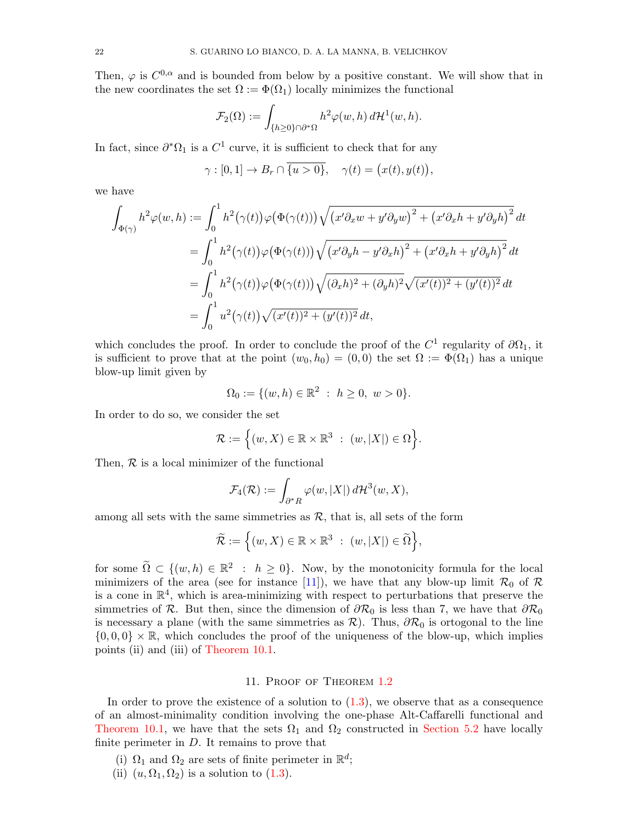Then,  $\varphi$  is  $C^{0,\alpha}$  and is bounded from below by a positive constant. We will show that in the new coordinates the set  $\Omega := \Phi(\Omega_1)$  locally minimizes the functional

$$
\mathcal{F}_2(\Omega) := \int_{\{h \ge 0\} \cap \partial^* \Omega} h^2 \varphi(w, h) d\mathcal{H}^1(w, h).
$$

In fact, since  $\partial^* \Omega_1$  is a  $C^1$  curve, it is sufficient to check that for any

$$
\gamma : [0,1] \to B_r \cap \overline{\{u>0\}}, \quad \gamma(t) = \big(x(t), y(t)\big),
$$

we have

$$
\int_{\Phi(\gamma)} h^2 \varphi(w, h) := \int_0^1 h^2(\gamma(t)) \varphi(\Phi(\gamma(t))) \sqrt{(x'\partial_x w + y'\partial_y w)^2 + (x'\partial_x h + y'\partial_y h)^2} dt
$$
  
\n
$$
= \int_0^1 h^2(\gamma(t)) \varphi(\Phi(\gamma(t))) \sqrt{(x'\partial_y h - y'\partial_x h)^2 + (x'\partial_x h + y'\partial_y h)^2} dt
$$
  
\n
$$
= \int_0^1 h^2(\gamma(t)) \varphi(\Phi(\gamma(t))) \sqrt{(\partial_x h)^2 + (\partial_y h)^2} \sqrt{(x'(t))^2 + (y'(t))^2} dt
$$
  
\n
$$
= \int_0^1 u^2(\gamma(t)) \sqrt{(x'(t))^2 + (y'(t))^2} dt,
$$

which concludes the proof. In order to conclude the proof of the  $C^1$  regularity of  $\partial\Omega_1$ , it is sufficient to prove that at the point  $(w_0, h_0) = (0, 0)$  the set  $\Omega := \Phi(\Omega_1)$  has a unique blow-up limit given by

$$
\Omega_0 := \{ (w, h) \in \mathbb{R}^2 \ : \ h \ge 0, \ w > 0 \}.
$$

In order to do so, we consider the set

$$
\mathcal{R} := \Big\{ (w, X) \in \mathbb{R} \times \mathbb{R}^3 \ : \ (w, |X|) \in \Omega \Big\}.
$$

Then,  $R$  is a local minimizer of the functional

$$
\mathcal{F}_4(\mathcal{R}) := \int_{\partial^* R} \varphi(w, |X|) d\mathcal{H}^3(w, X),
$$

among all sets with the same simmetries as  $\mathcal{R}$ , that is, all sets of the form

$$
\widetilde{\mathcal{R}} := \Big\{ (w, X) \in \mathbb{R} \times \mathbb{R}^3 \ : \ (w, |X|) \in \widetilde{\Omega} \Big\},\
$$

for some  $\widetilde{\Omega} \subset \{(w, h) \in \mathbb{R}^2 : h \geq 0\}$ . Now, by the monotonicity formula for the local minimizers of the area (see for instance [\[11\]](#page-22-13)), we have that any blow-up limit  $\mathcal{R}_0$  of  $\mathcal{R}$ is a cone in  $\mathbb{R}^4$ , which is area-minimizing with respect to perturbations that preserve the simmetries of R. But then, since the dimension of  $\partial \mathcal{R}_0$  is less than 7, we have that  $\partial \mathcal{R}_0$ is necessary a plane (with the same simmetries as  $\mathcal{R}$ ). Thus,  $\partial \mathcal{R}_0$  is ortogonal to the line  $\{0,0,0\} \times \mathbb{R}$ , which concludes the proof of the uniqueness of the blow-up, which implies points (ii) and (iii) of [Theorem 10.1.](#page-18-0)

### 11. Proof of Theorem [1.2](#page-3-1)

<span id="page-21-0"></span>In order to prove the existence of a solution to  $(1.3)$ , we observe that as a consequence of an almost-minimality condition involving the one-phase Alt-Caffarelli functional and [Theorem 10.1,](#page-18-0) we have that the sets  $\Omega_1$  and  $\Omega_2$  constructed in [Section 5.2](#page-12-1) have locally finite perimeter in  $D$ . It remains to prove that

- (i)  $\Omega_1$  and  $\Omega_2$  are sets of finite perimeter in  $\mathbb{R}^d$ ;
- (ii)  $(u, \Omega_1, \Omega_2)$  is a solution to  $(1.3)$ .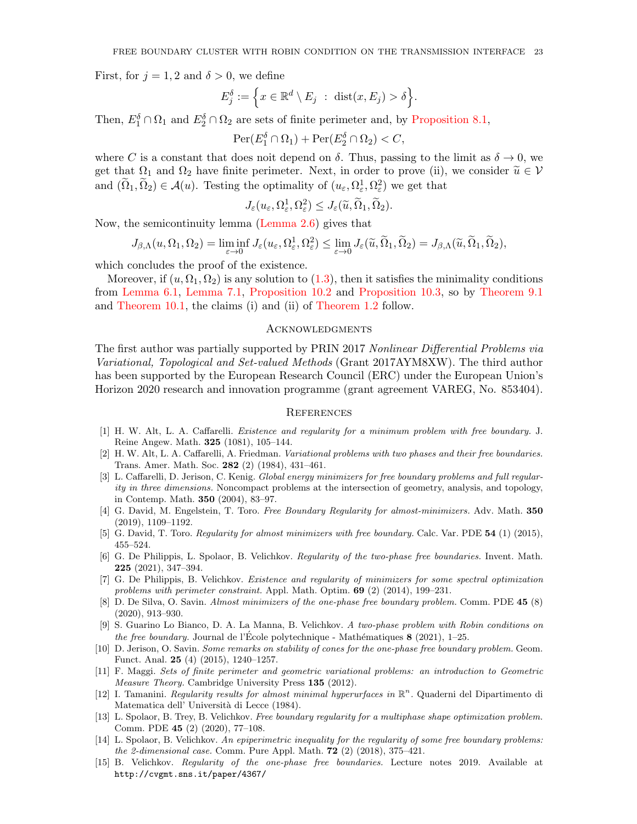First, for  $j = 1, 2$  and  $\delta > 0$ , we define

$$
E_j^{\delta} := \left\{ x \in \mathbb{R}^d \setminus E_j \ : \ \text{dist}(x, E_j) > \delta \right\}.
$$

Then,  $E_1^{\delta} \cap \Omega_1$  and  $E_2^{\delta} \cap \Omega_2$  are sets of finite perimeter and, by [Proposition 8.1,](#page-14-0)

 $\text{Per}(E_1^\delta \cap \Omega_1) + \text{Per}(E_2^\delta \cap \Omega_2) < C,$ 

where C is a constant that does noit depend on  $\delta$ . Thus, passing to the limit as  $\delta \to 0$ , we get that  $\Omega_1$  and  $\Omega_2$  have finite perimeter. Next, in order to prove (ii), we consider  $\tilde{u} \in \mathcal{V}$ and  $(\tilde{\Omega}_1, \tilde{\Omega}_2) \in \mathcal{A}(u)$ . Testing the optimality of  $(u_\varepsilon, \Omega_\varepsilon^1, \Omega_\varepsilon^2)$  we get that

$$
J_\varepsilon(u_\varepsilon,\Omega^1_\varepsilon,\Omega^2_\varepsilon)\leq J_\varepsilon(\widetilde u,\widetilde\Omega_1,\widetilde\Omega_2).
$$

Now, the semicontinuity lemma [\(Lemma 2.6\)](#page-7-3) gives that

$$
J_{\beta,\Lambda}(u,\Omega_1,\Omega_2)=\liminf_{\varepsilon\to 0}J_{\varepsilon}(u_{\varepsilon},\Omega_{\varepsilon}^1,\Omega_{\varepsilon}^2)\leq \lim_{\varepsilon\to 0}J_{\varepsilon}(\widetilde{u},\widetilde{\Omega}_1,\widetilde{\Omega}_2)=J_{\beta,\Lambda}(\widetilde{u},\widetilde{\Omega}_1,\widetilde{\Omega}_2),
$$

which concludes the proof of the existence.

Moreover, if  $(u, \Omega_1, \Omega_2)$  is any solution to  $(1.3)$ , then it satisfies the minimality conditions from [Lemma 6.1,](#page-13-0) [Lemma 7.1,](#page-14-3) [Proposition 10.2](#page-18-2) and [Proposition 10.3,](#page-19-1) so by [Theorem 9.1](#page-16-0) and [Theorem 10.1,](#page-18-0) the claims (i) and (ii) of [Theorem 1.2](#page-3-1) follow.

#### **ACKNOWLEDGMENTS**

The first author was partially supported by PRIN 2017 Nonlinear Differential Problems via Variational, Topological and Set-valued Methods (Grant 2017AYM8XW). The third author has been supported by the European Research Council (ERC) under the European Union's Horizon 2020 research and innovation programme (grant agreement VAREG, No. 853404).

### **REFERENCES**

- <span id="page-22-0"></span>[1] H. W. Alt, L. A. Caffarelli. Existence and regularity for a minimum problem with free boundary. J. Reine Angew. Math. 325 (1081), 105–144.
- <span id="page-22-1"></span>[2] H. W. Alt, L. A. Caffarelli, A. Friedman. Variational problems with two phases and their free boundaries. Trans. Amer. Math. Soc. 282 (2) (1984), 431–461.
- <span id="page-22-11"></span>[3] L. Caffarelli, D. Jerison, C. Kenig. Global energy minimizers for free boundary problems and full regularity in three dimensions. Noncompact problems at the intersection of geometry, analysis, and topology, in Contemp. Math. 350 (2004), 83–97.
- <span id="page-22-8"></span>[4] G. David, M. Engelstein, T. Toro. Free Boundary Regularity for almost-minimizers. Adv. Math. 350 (2019), 1109–1192.
- <span id="page-22-7"></span>[5] G. David, T. Toro. Regularity for almost minimizers with free boundary. Calc. Var. PDE 54 (1) (2015), 455–524.
- <span id="page-22-3"></span>[6] G. De Philippis, L. Spolaor, B. Velichkov. Regularity of the two-phase free boundaries. Invent. Math. 225 (2021), 347–394.
- <span id="page-22-5"></span>[7] G. De Philippis, B. Velichkov. Existence and regularity of minimizers for some spectral optimization problems with perimeter constraint. Appl. Math. Optim. 69 (2) (2014), 199–231.
- <span id="page-22-9"></span>[8] D. De Silva, O. Savin. Almost minimizers of the one-phase free boundary problem. Comm. PDE 45 (8) (2020), 913–930.
- <span id="page-22-4"></span>[9] S. Guarino Lo Bianco, D. A. La Manna, B. Velichkov. A two-phase problem with Robin conditions on the free boundary. Journal de l'École polytechnique - Mathématiques  $\mathbf{8}$  (2021), 1–25.
- <span id="page-22-12"></span>[10] D. Jerison, O. Savin. Some remarks on stability of cones for the one-phase free boundary problem. Geom. Funct. Anal. 25 (4) (2015), 1240–1257.
- <span id="page-22-13"></span>[11] F. Maggi. Sets of finite perimeter and geometric variational problems: an introduction to Geometric Measure Theory. Cambridge University Press 135 (2012).
- [12] I. Tamanini. Regularity results for almost minimal hyperurfaces in  $\mathbb{R}^n$ . Quaderni del Dipartimento di Matematica dell' Università di Lecce (1984).
- <span id="page-22-10"></span>[13] L. Spolaor, B. Trey, B. Velichkov. Free boundary regularity for a multiphase shape optimization problem. Comm. PDE 45 (2) (2020), 77–108.
- <span id="page-22-2"></span>[14] L. Spolaor, B. Velichkov. An epiperimetric inequality for the regularity of some free boundary problems: the 2-dimensional case. Comm. Pure Appl. Math. **72** (2) (2018), 375–421.
- <span id="page-22-6"></span>[15] B. Velichkov. Regularity of the one-phase free boundaries. Lecture notes 2019. Available at http://cvgmt.sns.it/paper/4367/